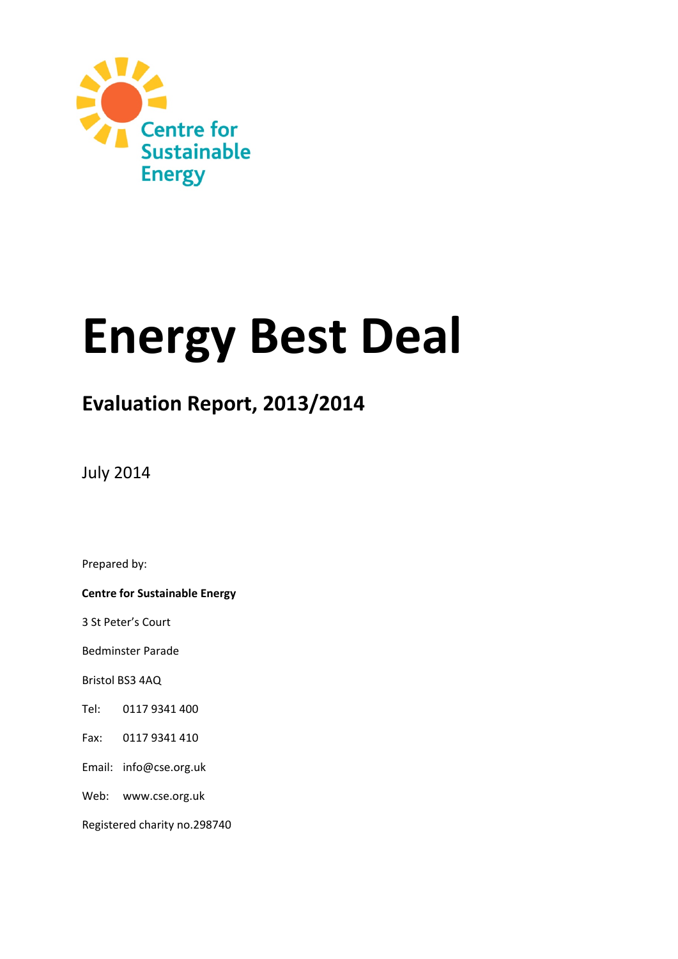

# **Energy Best Deal**

# **Evaluation Report, 2013/2014**

July 2014

Prepared by:

**Centre for Sustainable Energy**

3 St Peter's Court

Bedminster Parade

Bristol BS3 4AQ

Tel: 0117 9341 400

Fax: 0117 9341 410

Email: info@cse.org.uk

Web: www.cse.org.uk

Registered charity no.298740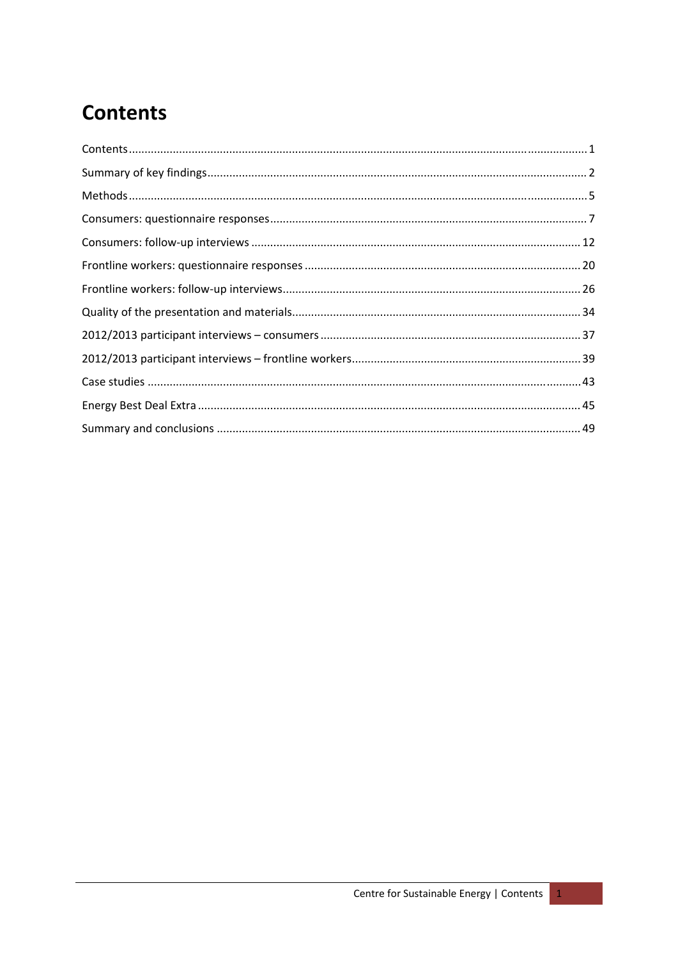# <span id="page-1-0"></span>**Contents**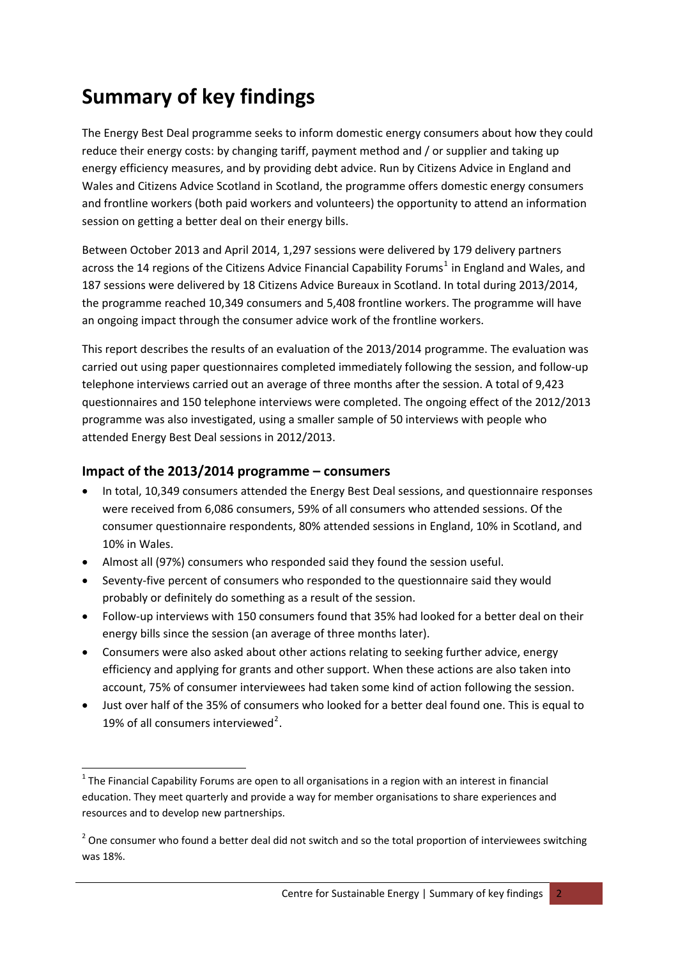# <span id="page-2-0"></span>**Summary of key findings**

The Energy Best Deal programme seeks to inform domestic energy consumers about how they could reduce their energy costs: by changing tariff, payment method and / or supplier and taking up energy efficiency measures, and by providing debt advice. Run by Citizens Advice in England and Wales and Citizens Advice Scotland in Scotland, the programme offers domestic energy consumers and frontline workers (both paid workers and volunteers) the opportunity to attend an information session on getting a better deal on their energy bills.

Between October 2013 and April 2014, 1,297 sessions were delivered by 179 delivery partners across the [1](#page-2-1)4 regions of the Citizens Advice Financial Capability Forums<sup>1</sup> in England and Wales, and 187 sessions were delivered by 18 Citizens Advice Bureaux in Scotland. In total during 2013/2014, the programme reached 10,349 consumers and 5,408 frontline workers. The programme will have an ongoing impact through the consumer advice work of the frontline workers.

This report describes the results of an evaluation of the 2013/2014 programme. The evaluation was carried out using paper questionnaires completed immediately following the session, and follow‐up telephone interviews carried out an average of three months after the session. A total of 9,423 questionnaires and 150 telephone interviews were completed. The ongoing effect of the 2012/2013 programme was also investigated, using a smaller sample of 50 interviews with people who attended Energy Best Deal sessions in 2012/2013.

# **Impact of the 2013/2014 programme – consumers**

- In total, 10,349 consumers attended the Energy Best Deal sessions, and questionnaire responses were received from 6,086 consumers, 59% of all consumers who attended sessions. Of the consumer questionnaire respondents, 80% attended sessions in England, 10% in Scotland, and 10% in Wales.
- Almost all (97%) consumers who responded said they found the session useful.
- Seventy-five percent of consumers who responded to the questionnaire said they would probably or definitely do something as a result of the session.
- Follow‐up interviews with 150 consumers found that 35% had looked for a better deal on their energy bills since the session (an average of three months later).
- Consumers were also asked about other actions relating to seeking further advice, energy efficiency and applying for grants and other support. When these actions are also taken into account, 75% of consumer interviewees had taken some kind of action following the session.
- Just over half of the 35% of consumers who looked for a better deal found one. This is equal to 19% of all consumers interviewed<sup>[2](#page-2-2)</sup>.

<span id="page-2-1"></span>  $1$  The Financial Capability Forums are open to all organisations in a region with an interest in financial education. They meet quarterly and provide a way for member organisations to share experiences and resources and to develop new partnerships.

<span id="page-2-2"></span> $2$  One consumer who found a better deal did not switch and so the total proportion of interviewees switching was 18%.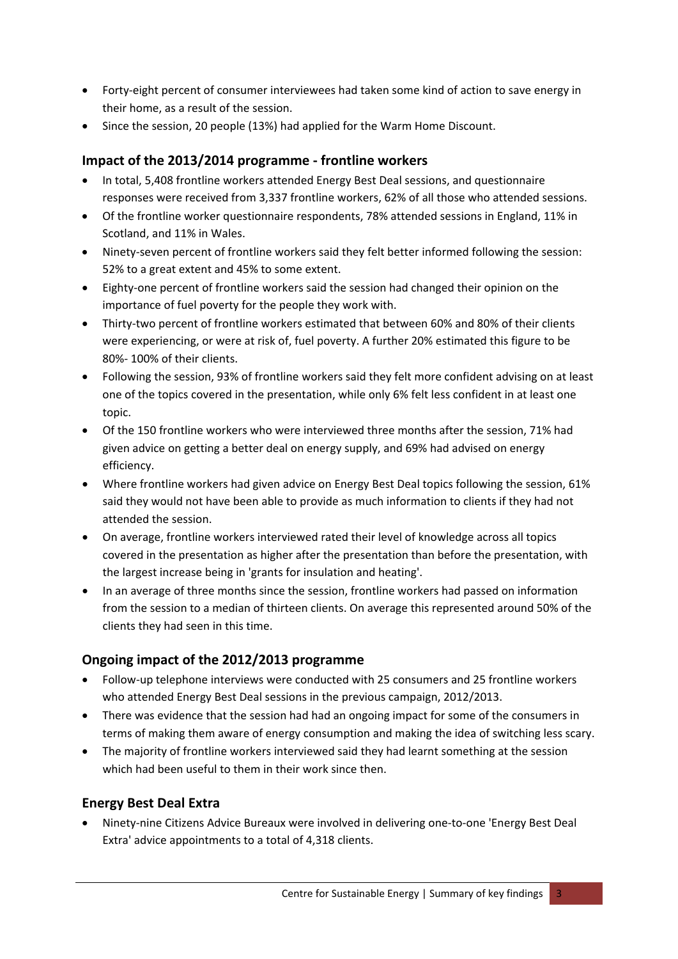- Forty-eight percent of consumer interviewees had taken some kind of action to save energy in their home, as a result of the session.
- Since the session, 20 people (13%) had applied for the Warm Home Discount.

# **Impact of the 2013/2014 programme ‐ frontline workers**

- In total, 5,408 frontline workers attended Energy Best Deal sessions, and questionnaire responses were received from 3,337 frontline workers, 62% of all those who attended sessions.
- Of the frontline worker questionnaire respondents, 78% attended sessions in England, 11% in Scotland, and 11% in Wales.
- Ninety‐seven percent of frontline workers said they felt better informed following the session: 52% to a great extent and 45% to some extent.
- Eighty‐one percent of frontline workers said the session had changed their opinion on the importance of fuel poverty for the people they work with.
- Thirty‐two percent of frontline workers estimated that between 60% and 80% of their clients were experiencing, or were at risk of, fuel poverty. A further 20% estimated this figure to be 80%‐ 100% of their clients.
- Following the session, 93% of frontline workers said they felt more confident advising on at least one of the topics covered in the presentation, while only 6% felt less confident in at least one topic.
- Of the 150 frontline workers who were interviewed three months after the session, 71% had given advice on getting a better deal on energy supply, and 69% had advised on energy efficiency.
- Where frontline workers had given advice on Energy Best Deal topics following the session, 61% said they would not have been able to provide as much information to clients if they had not attended the session.
- On average, frontline workers interviewed rated their level of knowledge across all topics covered in the presentation as higher after the presentation than before the presentation, with the largest increase being in 'grants for insulation and heating'.
- In an average of three months since the session, frontline workers had passed on information from the session to a median of thirteen clients. On average this represented around 50% of the clients they had seen in this time.

# **Ongoing impact of the 2012/2013 programme**

- Follow‐up telephone interviews were conducted with 25 consumers and 25 frontline workers who attended Energy Best Deal sessions in the previous campaign, 2012/2013.
- There was evidence that the session had had an ongoing impact for some of the consumers in terms of making them aware of energy consumption and making the idea of switching less scary.
- The majority of frontline workers interviewed said they had learnt something at the session which had been useful to them in their work since then.

# **Energy Best Deal Extra**

• Ninety-nine Citizens Advice Bureaux were involved in delivering one-to-one 'Energy Best Deal Extra' advice appointments to a total of 4,318 clients.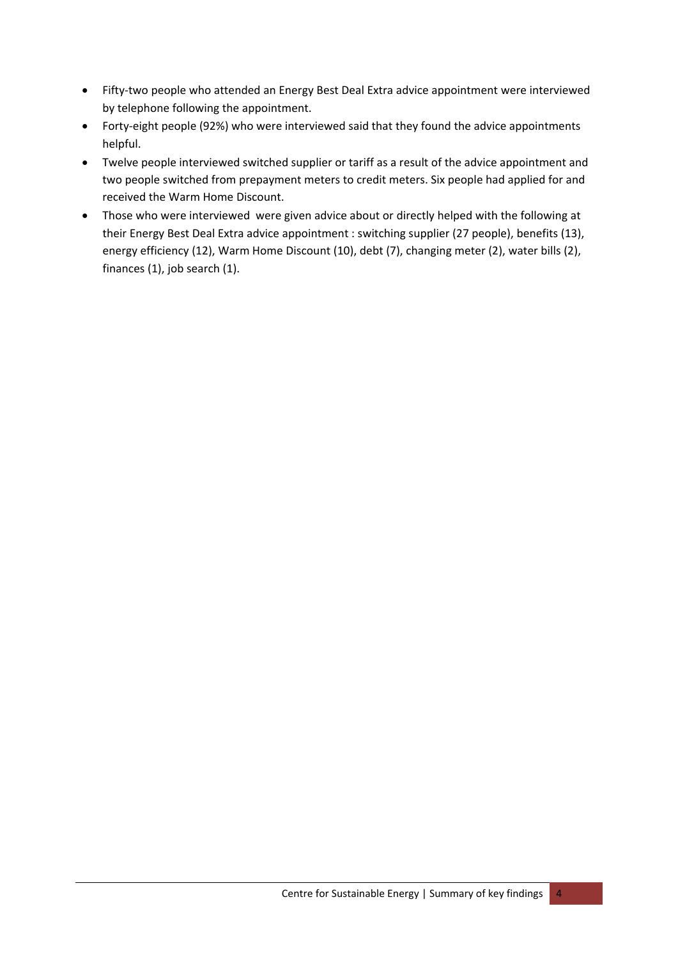- Fifty‐two people who attended an Energy Best Deal Extra advice appointment were interviewed by telephone following the appointment.
- Forty-eight people (92%) who were interviewed said that they found the advice appointments helpful.
- Twelve people interviewed switched supplier or tariff as a result of the advice appointment and two people switched from prepayment meters to credit meters. Six people had applied for and received the Warm Home Discount.
- Those who were interviewed were given advice about or directly helped with the following at their Energy Best Deal Extra advice appointment : switching supplier (27 people), benefits (13), energy efficiency (12), Warm Home Discount (10), debt (7), changing meter (2), water bills (2), finances (1), job search (1).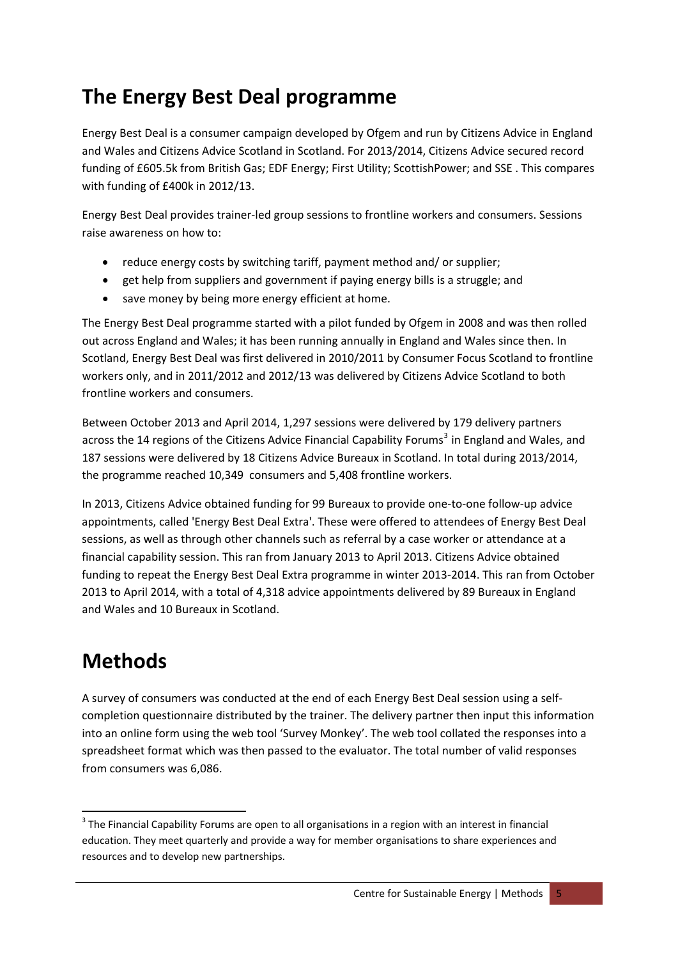# <span id="page-5-0"></span>**The Energy Best Deal programme**

Energy Best Deal is a consumer campaign developed by Ofgem and run by Citizens Advice in England and Wales and Citizens Advice Scotland in Scotland. For 2013/2014, Citizens Advice secured record funding of £605.5k from British Gas; EDF Energy; First Utility; ScottishPower; and SSE . This compares with funding of £400k in 2012/13.

Energy Best Deal provides trainer‐led group sessions to frontline workers and consumers. Sessions raise awareness on how to:

- reduce energy costs by switching tariff, payment method and/ or supplier;
- get help from suppliers and government if paying energy bills is a struggle; and
- save money by being more energy efficient at home.

The Energy Best Deal programme started with a pilot funded by Ofgem in 2008 and was then rolled out across England and Wales; it has been running annually in England and Wales since then. In Scotland, Energy Best Deal was first delivered in 2010/2011 by Consumer Focus Scotland to frontline workers only, and in 2011/2012 and 2012/13 was delivered by Citizens Advice Scotland to both frontline workers and consumers.

Between October 2013 and April 2014, 1,297 sessions were delivered by 179 delivery partners across the 14 regions of the Citizens Advice Financial Capability Forums<sup>[3](#page-5-1)</sup> in England and Wales, and 187 sessions were delivered by 18 Citizens Advice Bureaux in Scotland. In total during 2013/2014, the programme reached 10,349 consumers and 5,408 frontline workers.

In 2013, Citizens Advice obtained funding for 99 Bureaux to provide one‐to‐one follow‐up advice appointments, called 'Energy Best Deal Extra'. These were offered to attendees of Energy Best Deal sessions, as well as through other channels such as referral by a case worker or attendance at a financial capability session. This ran from January 2013 to April 2013. Citizens Advice obtained funding to repeat the Energy Best Deal Extra programme in winter 2013‐2014. This ran from October 2013 to April 2014, with a total of 4,318 advice appointments delivered by 89 Bureaux in England and Wales and 10 Bureaux in Scotland.

# **Methods**

A survey of consumers was conducted at the end of each Energy Best Deal session using a self‐ completion questionnaire distributed by the trainer. The delivery partner then input this information into an online form using the web tool 'Survey Monkey'. The web tool collated the responses into a spreadsheet format which was then passed to the evaluator. The total number of valid responses from consumers was 6,086.

<span id="page-5-1"></span><sup>&</sup>lt;sup>3</sup> The Financial Capability Forums are open to all organisations in a region with an interest in financial education. They meet quarterly and provide a way for member organisations to share experiences and resources and to develop new partnerships.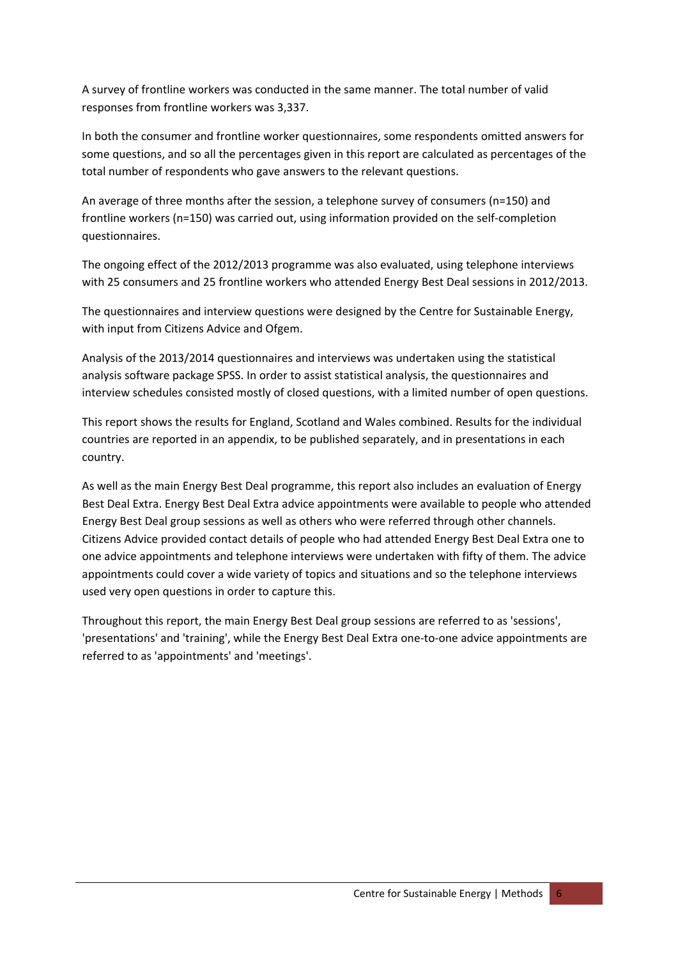A survey of frontline workers was conducted in the same manner. The total number of valid responses from frontline workers was 3,337.

In both the consumer and frontline worker questionnaires, some respondents omitted answers for some questions, and so all the percentages given in this report are calculated as percentages of the total number of respondents who gave answers to the relevant questions.

An average of three months after the session, a telephone survey of consumers (n=150) and frontline workers (n=150) was carried out, using information provided on the self-completion questionnaires.

The ongoing effect of the 2012/2013 programme was also evaluated, using telephone interviews with 25 consumers and 25 frontline workers who attended Energy Best Deal sessions in 2012/2013.

The questionnaires and interview questions were designed by the Centre for Sustainable Energy, with input from Citizens Advice and Ofgem.

Analysis of the 2013/2014 questionnaires and interviews was undertaken using the statistical analysis software package SPSS. In order to assist statistical analysis, the questionnaires and interview schedules consisted mostly of closed questions, with a limited number of open questions.

This report shows the results for England, Scotland and Wales combined. Results for the individual countries are reported in an appendix, to be published separately, and in presentations in each country.

As well as the main Energy Best Deal programme, this report also includes an evaluation of Energy Best Deal Extra. Energy Best Deal Extra advice appointments were available to people who attended Energy Best Deal group sessions as well as others who were referred through other channels. Citizens Advice provided contact details of people who had attended Energy Best Deal Extra one to one advice appointments and telephone interviews were undertaken with fifty of them. The advice appointments could cover a wide variety of topics and situations and so the telephone interviews used very open questions in order to capture this.

Throughout this report, the main Energy Best Deal group sessions are referred to as 'sessions', 'presentations' and 'training', while the Energy Best Deal Extra one‐to‐one advice appointments are referred to as 'appointments' and 'meetings'.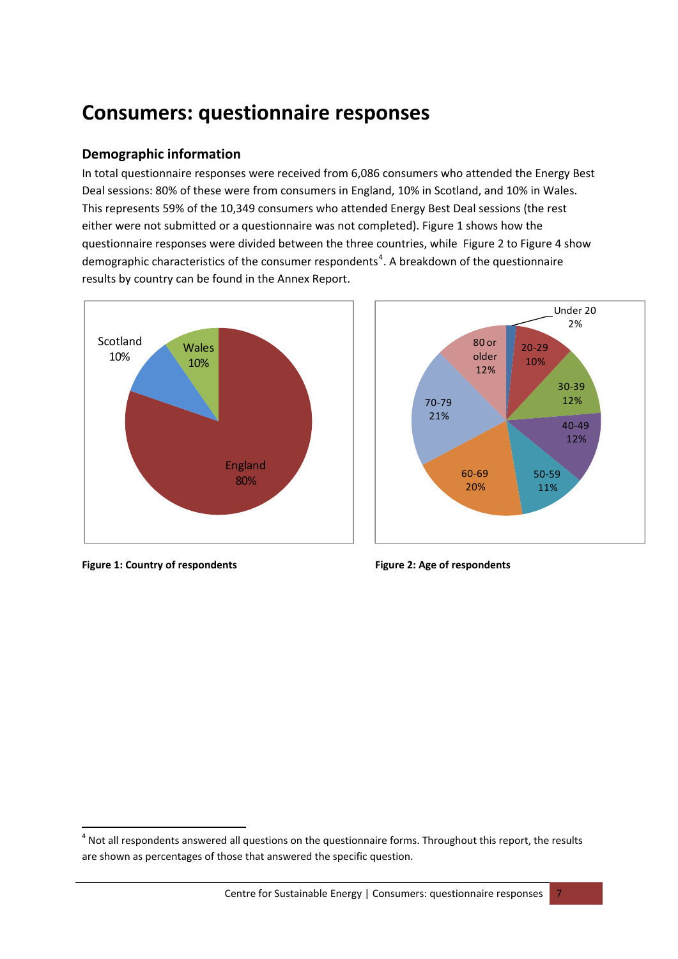# <span id="page-7-0"></span>**Consumers: questionnaire responses**

# **Demographic information**

In total questionnaire responses were received from 6,086 consumers who attended the Energy Best Deal sessions: 80% of these were from consumers in England, 10% in Scotland, and 10% in Wales. This represents 59% of the 10,349 consumers who attended Energy Best Deal sessions (the rest either were not submitted or a questionnaire was not completed). [Figure](#page-7-2) 1 shows how the questionnaire responses were divided between the three countries, while [Figure](#page-7-2) 2 to [Figure](#page-8-0) 4 show demographic characteristics of the consumer respondents<sup>[4](#page-7-1)</sup>. A breakdown of the questionnaire results by country can be found in the Annex Report.





<span id="page-7-2"></span>**Figure 1: Country of respondents Figure 2: Age of respondents**

<span id="page-7-1"></span><sup>&</sup>lt;sup>4</sup> Not all respondents answered all questions on the questionnaire forms. Throughout this report, the results are shown as percentages of those that answered the specific question.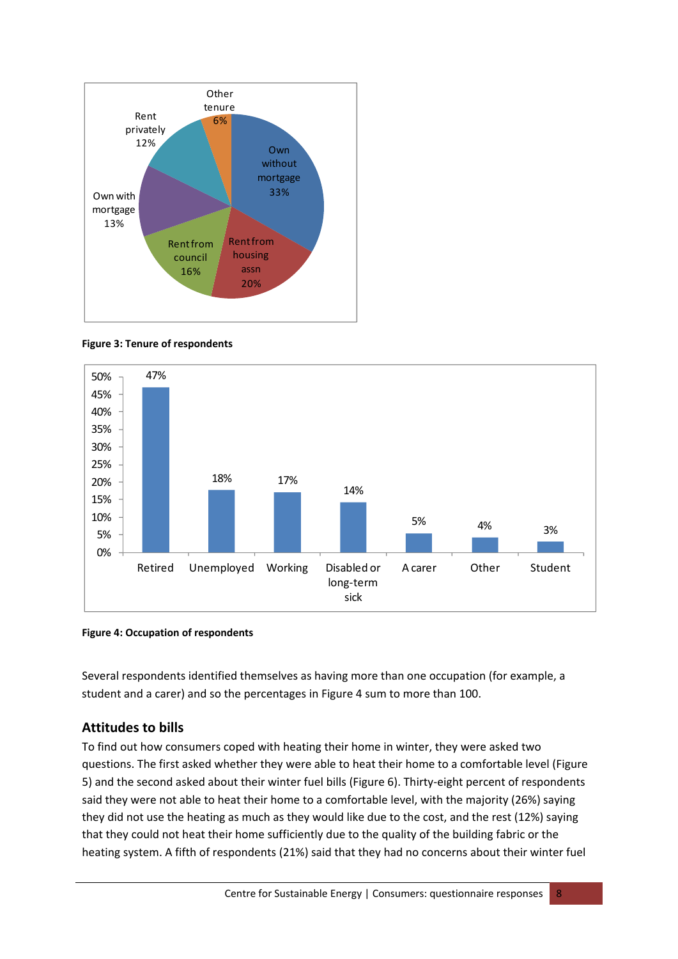





<span id="page-8-0"></span>

Several respondents identified themselves as having more than one occupation (for example, a student and a carer) and so the percentages in [Figure](#page-8-0) 4 sum to more than 100.

### **Attitudes to bills**

To find out how consumers coped with heating their home in winter, they were asked two questions. The first asked whether they were able to heat their home to a comfortable level [\(Figure](#page-9-0) [5\)](#page-9-0) and the second asked about their winter fuel bills [\(Figure](#page-9-1) 6). Thirty-eight percent of respondents said they were not able to heat their home to a comfortable level, with the majority (26%) saying they did not use the heating as much as they would like due to the cost, and the rest (12%) saying that they could not heat their home sufficiently due to the quality of the building fabric or the heating system. A fifth of respondents (21%) said that they had no concerns about their winter fuel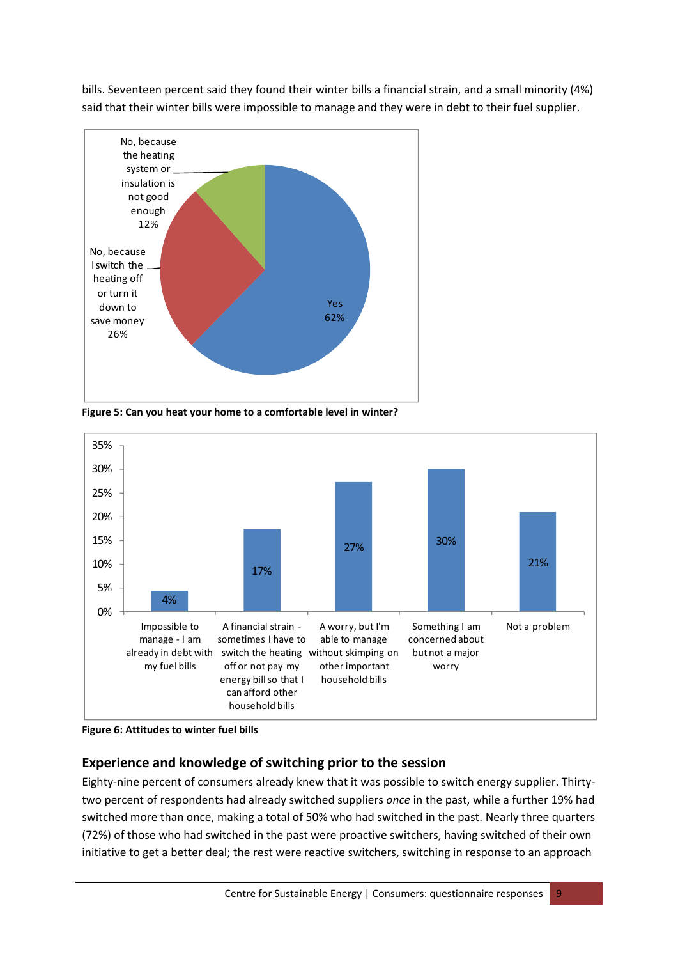bills. Seventeen percent said they found their winter bills a financial strain, and a small minority (4%) said that their winter bills were impossible to manage and they were in debt to their fuel supplier.



<span id="page-9-0"></span>**Figure 5: Can you heat your home to a comfortable level in winter?**



<span id="page-9-1"></span>**Figure 6: Attitudes to winter fuel bills** 

# **Experience and knowledge of switching prior to the session**

Eighty-nine percent of consumers already knew that it was possible to switch energy supplier. Thirtytwo percent of respondents had already switched suppliers *once* in the past, while a further 19% had switched more than once, making a total of 50% who had switched in the past. Nearly three quarters (72%) of those who had switched in the past were proactive switchers, having switched of their own initiative to get a better deal; the rest were reactive switchers, switching in response to an approach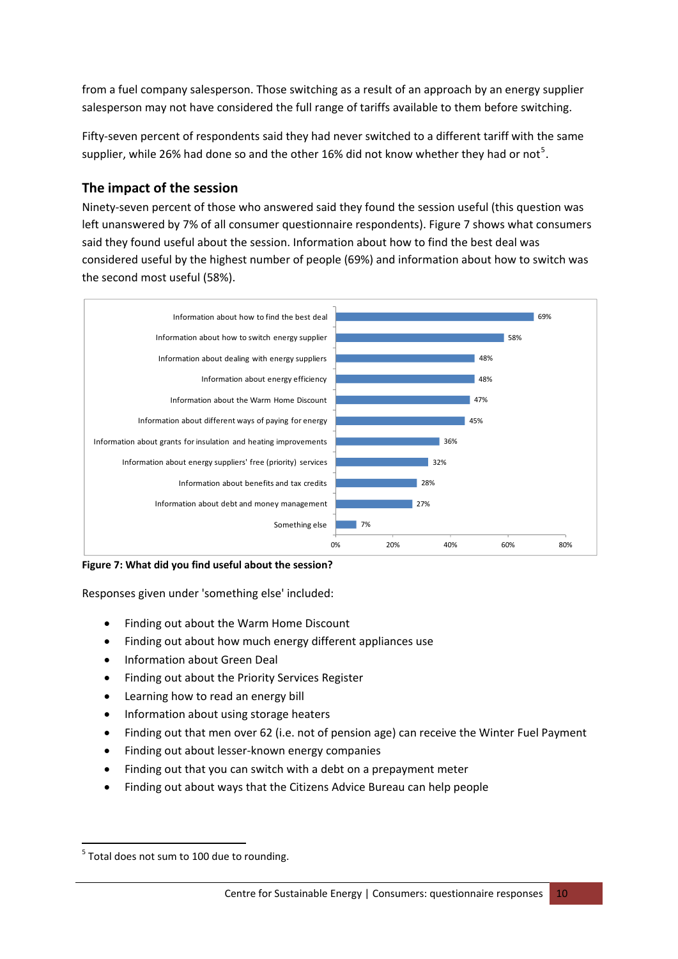from a fuel company salesperson. Those switching as a result of an approach by an energy supplier salesperson may not have considered the full range of tariffs available to them before switching.

Fifty-seven percent of respondents said they had never switched to a different tariff with the same supplier, while 26% had done so and the other 16% did not know whether they had or not<sup>[5](#page-10-0)</sup>.

# **The impact of the session**

Ninety‐seven percent of those who answered said they found the session useful (this question was left unanswered by 7% of all consumer questionnaire respondents). [Figure](#page-10-1) 7 shows what consumers said they found useful about the session. Information about how to find the best deal was considered useful by the highest number of people (69%) and information about how to switch was the second most useful (58%).



<span id="page-10-1"></span>**Figure 7: What did you find useful about the session?**

Responses given under 'something else' included:

- Finding out about the Warm Home Discount
- Finding out about how much energy different appliances use
- Information about Green Deal
- Finding out about the Priority Services Register
- Learning how to read an energy bill
- Information about using storage heaters
- Finding out that men over 62 (i.e. not of pension age) can receive the Winter Fuel Payment
- Finding out about lesser‐known energy companies
- Finding out that you can switch with a debt on a prepayment meter
- Finding out about ways that the Citizens Advice Bureau can help people

<span id="page-10-0"></span>  $5$  Total does not sum to 100 due to rounding.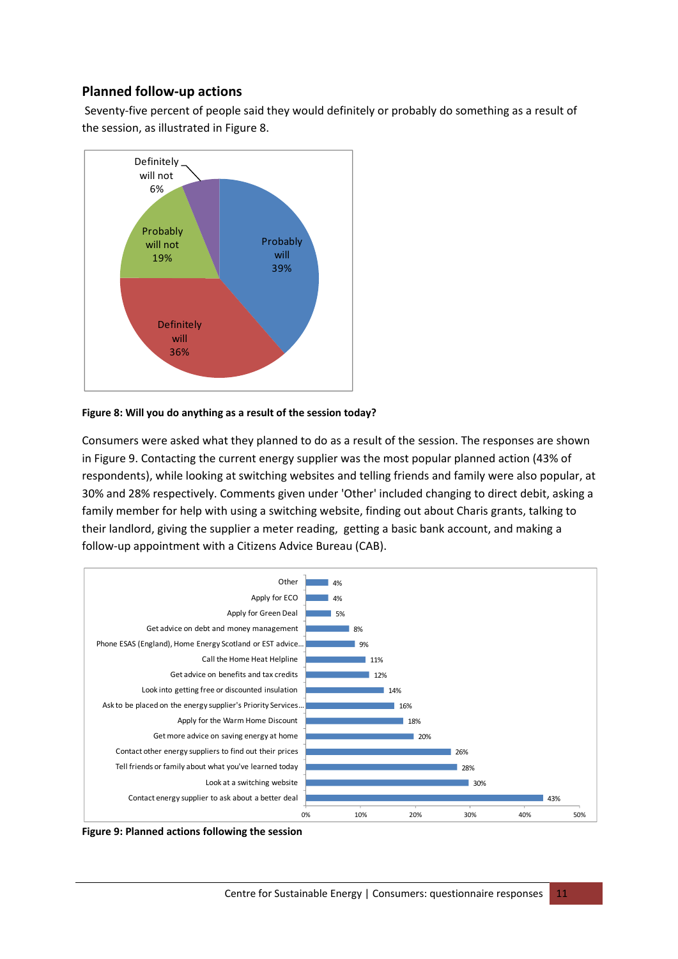# **Planned follow‐up actions**

Seventy‐five percent of people said they would definitely or probably do something as a result of the session, as illustrated in [Figure](#page-11-0) 8.



#### <span id="page-11-0"></span>**Figure 8: Will you do anything as a result of the session today?**

Consumers were asked what they planned to do as a result of the session. The responses are shown in [Figure](#page-11-1) 9. Contacting the current energy supplier was the most popular planned action (43% of respondents), while looking at switching websites and telling friends and family were also popular, at 30% and 28% respectively. Comments given under 'Other' included changing to direct debit, asking a family member for help with using a switching website, finding out about Charis grants, talking to their landlord, giving the supplier a meter reading, getting a basic bank account, and making a follow‐up appointment with a Citizens Advice Bureau (CAB).



<span id="page-11-1"></span>**Figure 9: Planned actions following the session**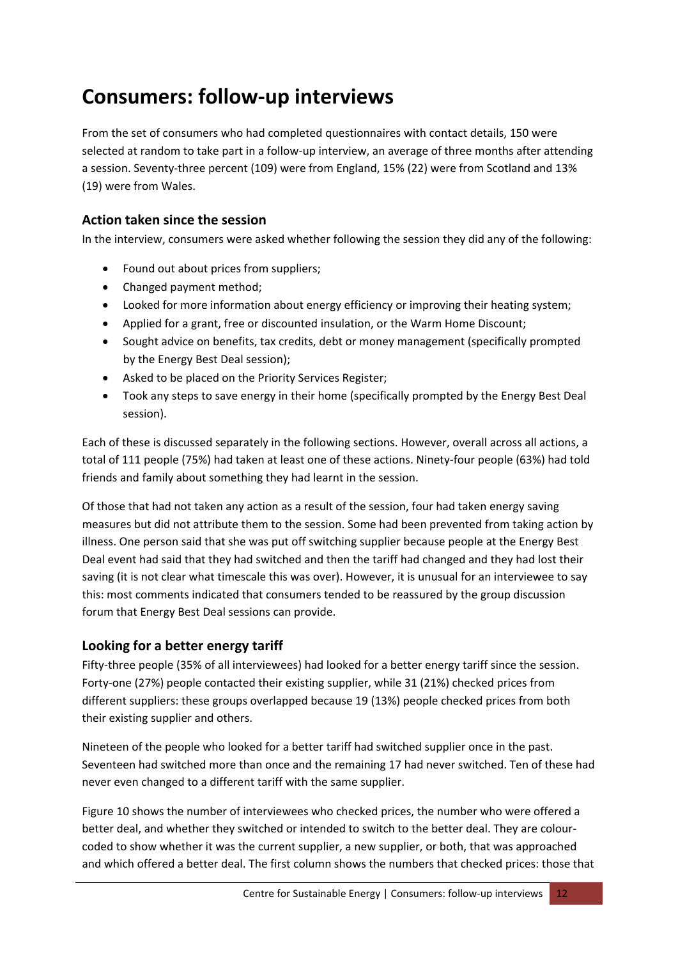# <span id="page-12-0"></span>**Consumers: follow‐up interviews**

From the set of consumers who had completed questionnaires with contact details, 150 were selected at random to take part in a follow‐up interview, an average of three months after attending a session. Seventy‐three percent (109) were from England, 15% (22) were from Scotland and 13% (19) were from Wales.

# **Action taken since the session**

In the interview, consumers were asked whether following the session they did any of the following:

- Found out about prices from suppliers;
- Changed payment method;
- Looked for more information about energy efficiency or improving their heating system;
- Applied for a grant, free or discounted insulation, or the Warm Home Discount;
- Sought advice on benefits, tax credits, debt or money management (specifically prompted by the Energy Best Deal session);
- Asked to be placed on the Priority Services Register;
- Took any steps to save energy in their home (specifically prompted by the Energy Best Deal session).

Each of these is discussed separately in the following sections. However, overall across all actions, a total of 111 people (75%) had taken at least one of these actions. Ninety-four people (63%) had told friends and family about something they had learnt in the session.

Of those that had not taken any action as a result of the session, four had taken energy saving measures but did not attribute them to the session. Some had been prevented from taking action by illness. One person said that she was put off switching supplier because people at the Energy Best Deal event had said that they had switched and then the tariff had changed and they had lost their saving (it is not clear what timescale this was over). However, it is unusual for an interviewee to say this: most comments indicated that consumers tended to be reassured by the group discussion forum that Energy Best Deal sessions can provide.

# **Looking for a better energy tariff**

Fifty-three people (35% of all interviewees) had looked for a better energy tariff since the session. Forty‐one (27%) people contacted their existing supplier, while 31 (21%) checked prices from different suppliers: these groups overlapped because 19 (13%) people checked prices from both their existing supplier and others.

Nineteen of the people who looked for a better tariff had switched supplier once in the past. Seventeen had switched more than once and the remaining 17 had never switched. Ten of these had never even changed to a different tariff with the same supplier.

[Figure](#page-13-0) 10 shows the number of interviewees who checked prices, the number who were offered a better deal, and whether they switched or intended to switch to the better deal. They are colour‐ coded to show whether it was the current supplier, a new supplier, or both, that was approached and which offered a better deal. The first column shows the numbers that checked prices: those that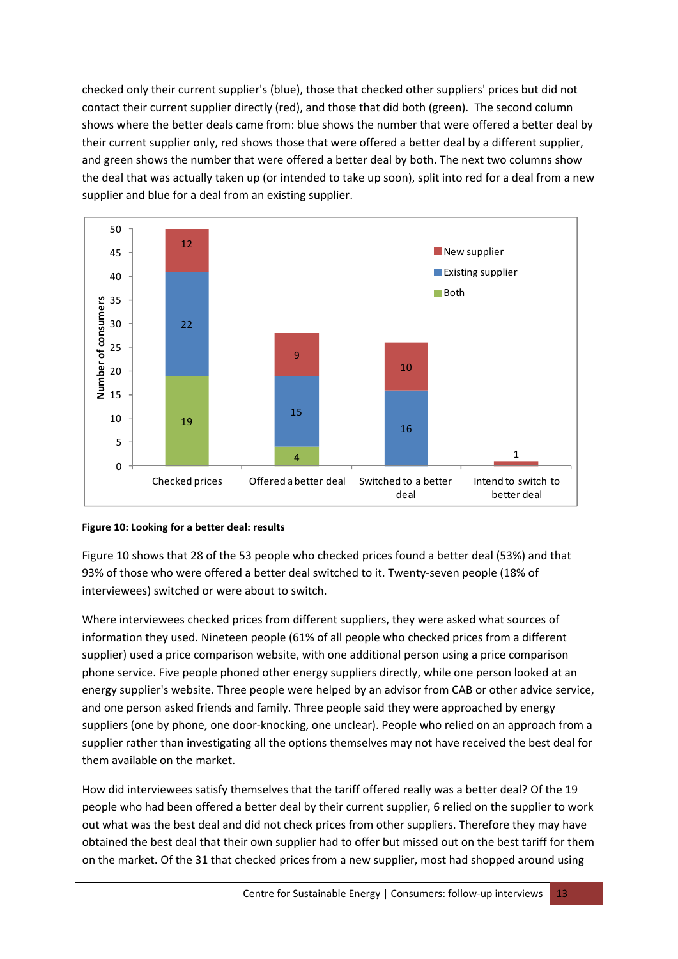checked only their current supplier's (blue), those that checked other suppliers' prices but did not contact their current supplier directly (red), and those that did both (green). The second column shows where the better deals came from: blue shows the number that were offered a better deal by their current supplier only, red shows those that were offered a better deal by a different supplier, and green shows the number that were offered a better deal by both. The next two columns show the deal that was actually taken up (or intended to take up soon), split into red for a deal from a new supplier and blue for a deal from an existing supplier.



#### <span id="page-13-0"></span>**Figure 10: Looking for a better deal: results**

[Figure](#page-13-0) 10 shows that 28 of the 53 people who checked prices found a better deal (53%) and that 93% of those who were offered a better deal switched to it. Twenty-seven people (18% of interviewees) switched or were about to switch.

Where interviewees checked prices from different suppliers, they were asked what sources of information they used. Nineteen people (61% of all people who checked prices from a different supplier) used a price comparison website, with one additional person using a price comparison phone service. Five people phoned other energy suppliers directly, while one person looked at an energy supplier's website. Three people were helped by an advisor from CAB or other advice service, and one person asked friends and family. Three people said they were approached by energy suppliers (one by phone, one door-knocking, one unclear). People who relied on an approach from a supplier rather than investigating all the options themselves may not have received the best deal for them available on the market.

How did interviewees satisfy themselves that the tariff offered really was a better deal? Of the 19 people who had been offered a better deal by their current supplier, 6 relied on the supplier to work out what was the best deal and did not check prices from other suppliers. Therefore they may have obtained the best deal that their own supplier had to offer but missed out on the best tariff for them on the market. Of the 31 that checked prices from a new supplier, most had shopped around using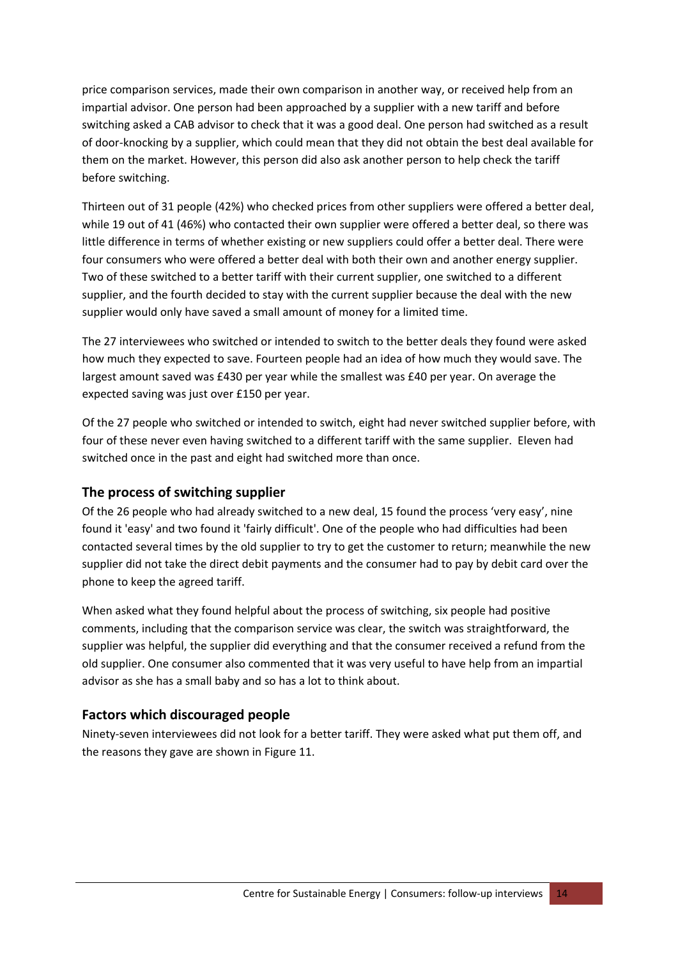price comparison services, made their own comparison in another way, or received help from an impartial advisor. One person had been approached by a supplier with a new tariff and before switching asked a CAB advisor to check that it was a good deal. One person had switched as a result of door‐knocking by a supplier, which could mean that they did not obtain the best deal available for them on the market. However, this person did also ask another person to help check the tariff before switching.

Thirteen out of 31 people (42%) who checked prices from other suppliers were offered a better deal, while 19 out of 41 (46%) who contacted their own supplier were offered a better deal, so there was little difference in terms of whether existing or new suppliers could offer a better deal. There were four consumers who were offered a better deal with both their own and another energy supplier. Two of these switched to a better tariff with their current supplier, one switched to a different supplier, and the fourth decided to stay with the current supplier because the deal with the new supplier would only have saved a small amount of money for a limited time.

The 27 interviewees who switched or intended to switch to the better deals they found were asked how much they expected to save. Fourteen people had an idea of how much they would save. The largest amount saved was £430 per year while the smallest was £40 per year. On average the expected saving was just over £150 per year.

Of the 27 people who switched or intended to switch, eight had never switched supplier before, with four of these never even having switched to a different tariff with the same supplier. Eleven had switched once in the past and eight had switched more than once.

### **The process of switching supplier**

Of the 26 people who had already switched to a new deal, 15 found the process 'very easy', nine found it 'easy' and two found it 'fairly difficult'. One of the people who had difficulties had been contacted several times by the old supplier to try to get the customer to return; meanwhile the new supplier did not take the direct debit payments and the consumer had to pay by debit card over the phone to keep the agreed tariff.

When asked what they found helpful about the process of switching, six people had positive comments, including that the comparison service was clear, the switch was straightforward, the supplier was helpful, the supplier did everything and that the consumer received a refund from the old supplier. One consumer also commented that it was very useful to have help from an impartial advisor as she has a small baby and so has a lot to think about.

### **Factors which discouraged people**

Ninety-seven interviewees did not look for a better tariff. They were asked what put them off, and the reasons they gave are shown in [Figure](#page-15-0) 11.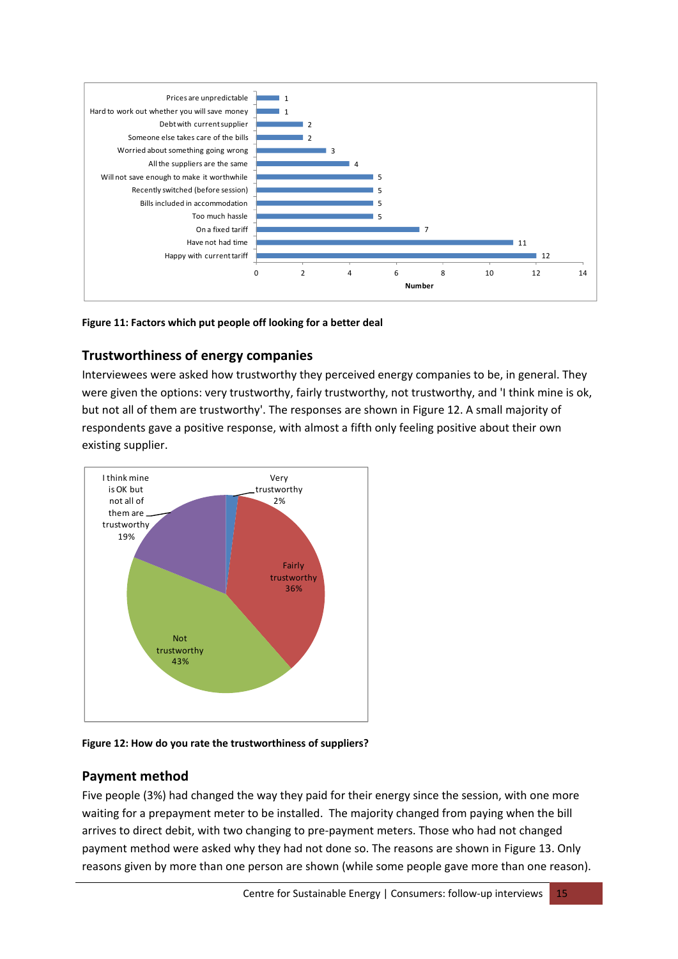

<span id="page-15-0"></span>**Figure 11: Factors which put people off looking for a better deal**

# **Trustworthiness of energy companies**

Interviewees were asked how trustworthy they perceived energy companies to be, in general. They were given the options: very trustworthy, fairly trustworthy, not trustworthy, and 'I think mine is ok, but not all of them are trustworthy'. The responses are shown in [Figure](#page-15-1) 12. A small majority of respondents gave a positive response, with almost a fifth only feeling positive about their own existing supplier.



<span id="page-15-1"></span>**Figure 12: How do you rate the trustworthiness of suppliers?**

# **Payment method**

Five people (3%) had changed the way they paid for their energy since the session, with one more waiting for a prepayment meter to be installed. The majority changed from paying when the bill arrives to direct debit, with two changing to pre‐payment meters. Those who had not changed payment method were asked why they had not done so. The reasons are shown in [Figure](#page-16-0) 13. Only reasons given by more than one person are shown (while some people gave more than one reason).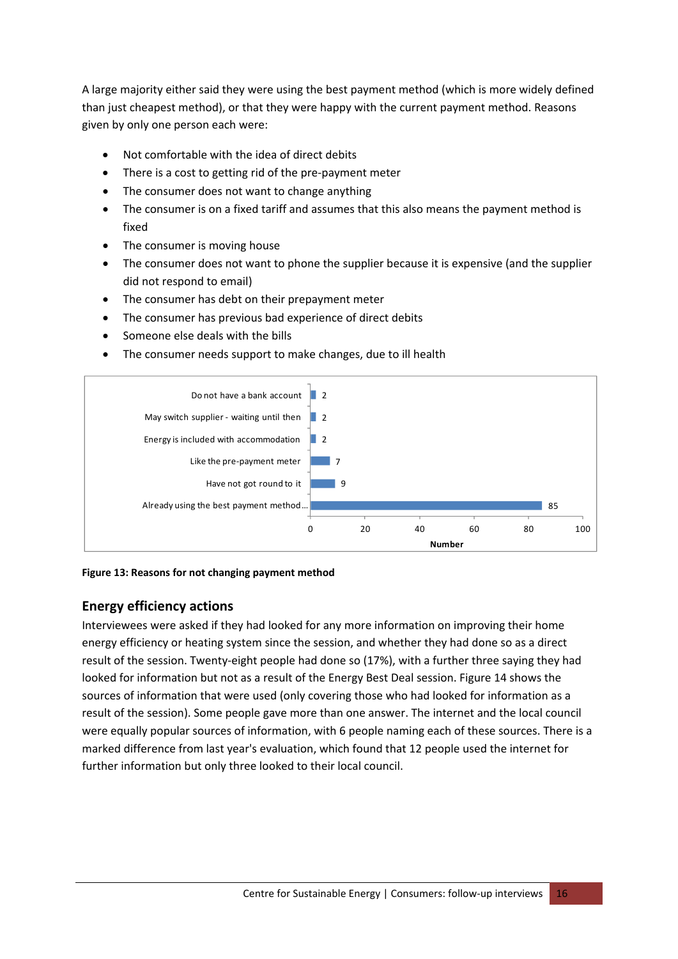A large majority either said they were using the best payment method (which is more widely defined than just cheapest method), or that they were happy with the current payment method. Reasons given by only one person each were:

- Not comfortable with the idea of direct debits
- There is a cost to getting rid of the pre‐payment meter
- The consumer does not want to change anything
- The consumer is on a fixed tariff and assumes that this also means the payment method is fixed
- The consumer is moving house
- The consumer does not want to phone the supplier because it is expensive (and the supplier did not respond to email)
- The consumer has debt on their prepayment meter
- The consumer has previous bad experience of direct debits
- Someone else deals with the bills
- The consumer needs support to make changes, due to ill health



<span id="page-16-0"></span>**Figure 13: Reasons for not changing payment method**

# **Energy efficiency actions**

Interviewees were asked if they had looked for any more information on improving their home energy efficiency or heating system since the session, and whether they had done so as a direct result of the session. Twenty‐eight people had done so (17%), with a further three saying they had looked for information but not as a result of the Energy Best Deal session. [Figure](#page-17-0) 14 shows the sources of information that were used (only covering those who had looked for information as a result of the session). Some people gave more than one answer. The internet and the local council were equally popular sources of information, with 6 people naming each of these sources. There is a marked difference from last year's evaluation, which found that 12 people used the internet for further information but only three looked to their local council.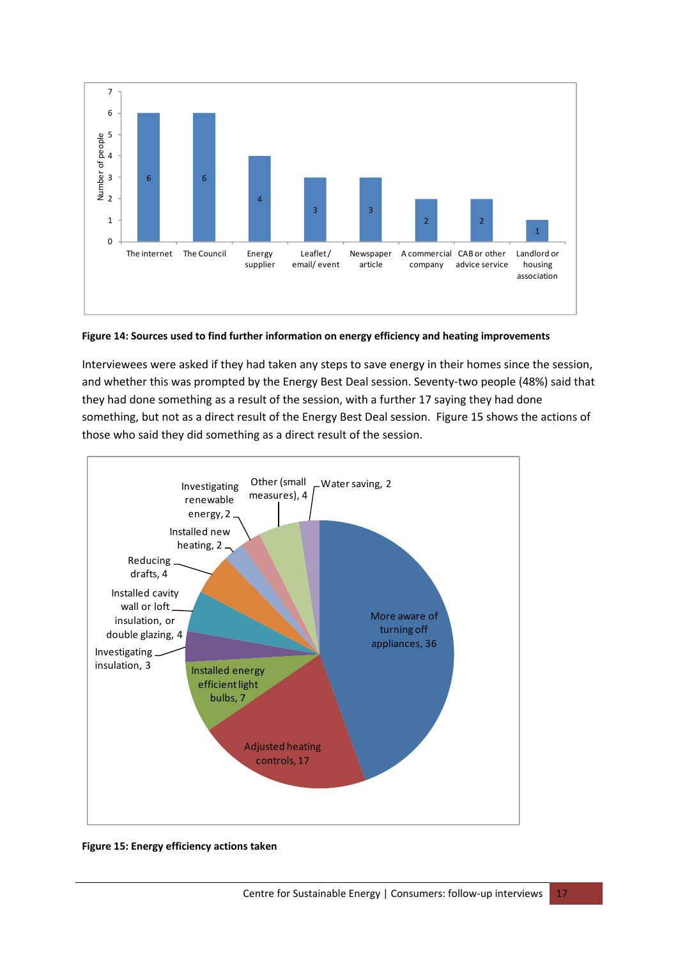

#### <span id="page-17-0"></span>**Figure 14: Sources used to find further information on energy efficiency and heating improvements**

Interviewees were asked if they had taken any steps to save energy in their homes since the session, and whether this was prompted by the Energy Best Deal session. Seventy-two people (48%) said that they had done something as a result of the session, with a further 17 saying they had done something, but not as a direct result of the Energy Best Deal session. [Figure](#page-17-1) 15 shows the actions of those who said they did something as a direct result of the session.



#### <span id="page-17-1"></span>**Figure 15: Energy efficiency actions taken**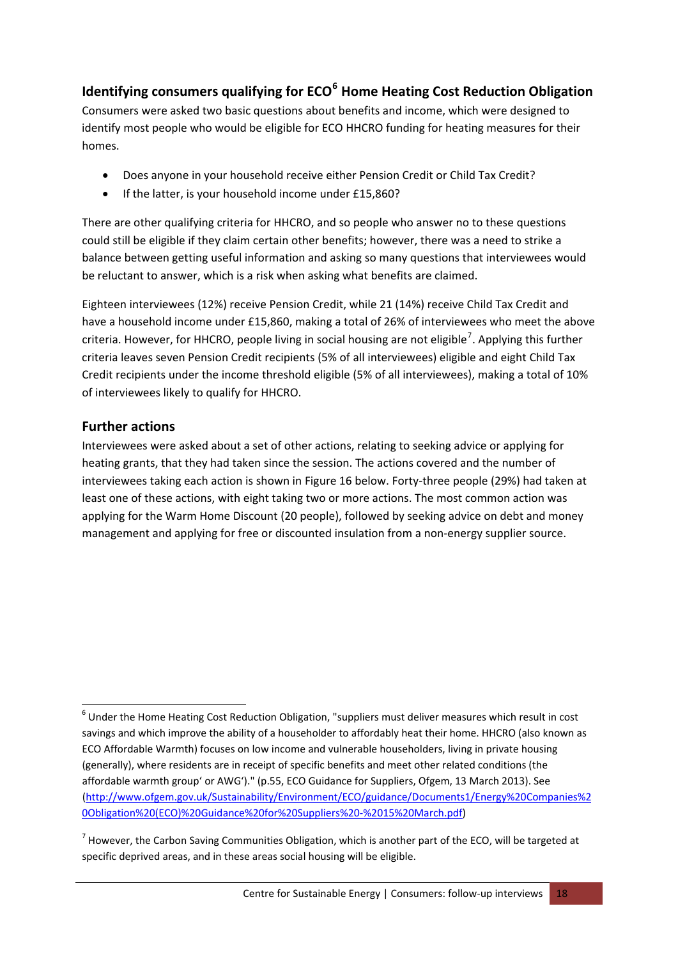# **Identifying consumers qualifying for ECO[6](#page-18-0) Home Heating Cost Reduction Obligation**

Consumers were asked two basic questions about benefits and income, which were designed to identify most people who would be eligible for ECO HHCRO funding for heating measures for their homes.

- Does anyone in your household receive either Pension Credit or Child Tax Credit?
- If the latter, is your household income under £15,860?

There are other qualifying criteria for HHCRO, and so people who answer no to these questions could still be eligible if they claim certain other benefits; however, there was a need to strike a balance between getting useful information and asking so many questions that interviewees would be reluctant to answer, which is a risk when asking what benefits are claimed.

Eighteen interviewees (12%) receive Pension Credit, while 21 (14%) receive Child Tax Credit and have a household income under £15,860, making a total of 26% of interviewees who meet the above criteria. However, for HHCRO, people living in social housing are not eligible<sup>[7](#page-18-1)</sup>. Applying this further criteria leaves seven Pension Credit recipients (5% of all interviewees) eligible and eight Child Tax Credit recipients under the income threshold eligible (5% of all interviewees), making a total of 10% of interviewees likely to qualify for HHCRO.

# **Further actions**

Interviewees were asked about a set of other actions, relating to seeking advice or applying for heating grants, that they had taken since the session. The actions covered and the number of interviewees taking each action is shown in [Figure](#page-19-0) 16 below. Forty-three people (29%) had taken at least one of these actions, with eight taking two or more actions. The most common action was applying for the Warm Home Discount (20 people), followed by seeking advice on debt and money management and applying for free or discounted insulation from a non-energy supplier source.

<span id="page-18-0"></span> <sup>6</sup> Under the Home Heating Cost Reduction Obligation, "suppliers must deliver measures which result in cost savings and which improve the ability of a householder to affordably heat their home. HHCRO (also known as ECO Affordable Warmth) focuses on low income and vulnerable householders, living in private housing (generally), where residents are in receipt of specific benefits and meet other related conditions (the affordable warmth group' or AWG')." (p.55, ECO Guidance for Suppliers, Ofgem, 13 March 2013). See [\(http://www.ofgem.gov.uk/Sustainability/Environment/ECO/guidance/Documents1/Energy%20Companies%2](http://www.ofgem.gov.uk/Sustainability/Environment/ECO/guidance/Documents1/Energy%20Companies%20Obligation%20(ECO)%20Guidance%20for%20Suppliers%20-%2015%20March.pdf) [0Obligation%20\(ECO\)%20Guidance%20for%20Suppliers%20](http://www.ofgem.gov.uk/Sustainability/Environment/ECO/guidance/Documents1/Energy%20Companies%20Obligation%20(ECO)%20Guidance%20for%20Suppliers%20-%2015%20March.pdf)‐%2015%20March.pdf)

<span id="page-18-1"></span> $<sup>7</sup>$  However, the Carbon Saving Communities Obligation, which is another part of the ECO, will be targeted at</sup> specific deprived areas, and in these areas social housing will be eligible.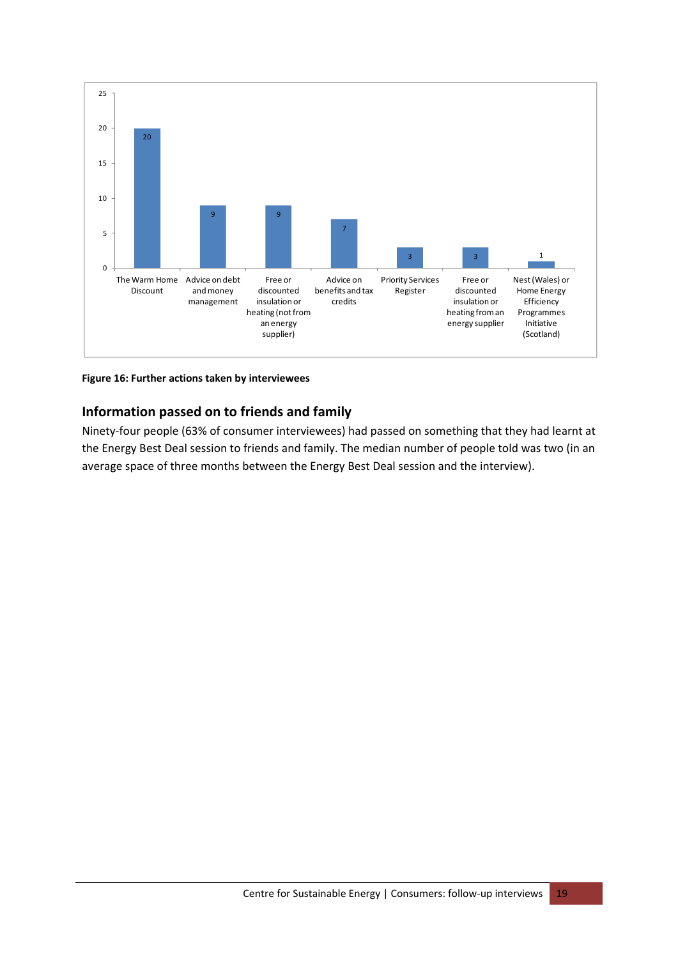

<span id="page-19-0"></span>**Figure 16: Further actions taken by interviewees**

# **Information passed on to friends and family**

Ninety‐four people (63% of consumer interviewees) had passed on something that they had learnt at the Energy Best Deal session to friends and family. The median number of people told was two (in an average space of three months between the Energy Best Deal session and the interview).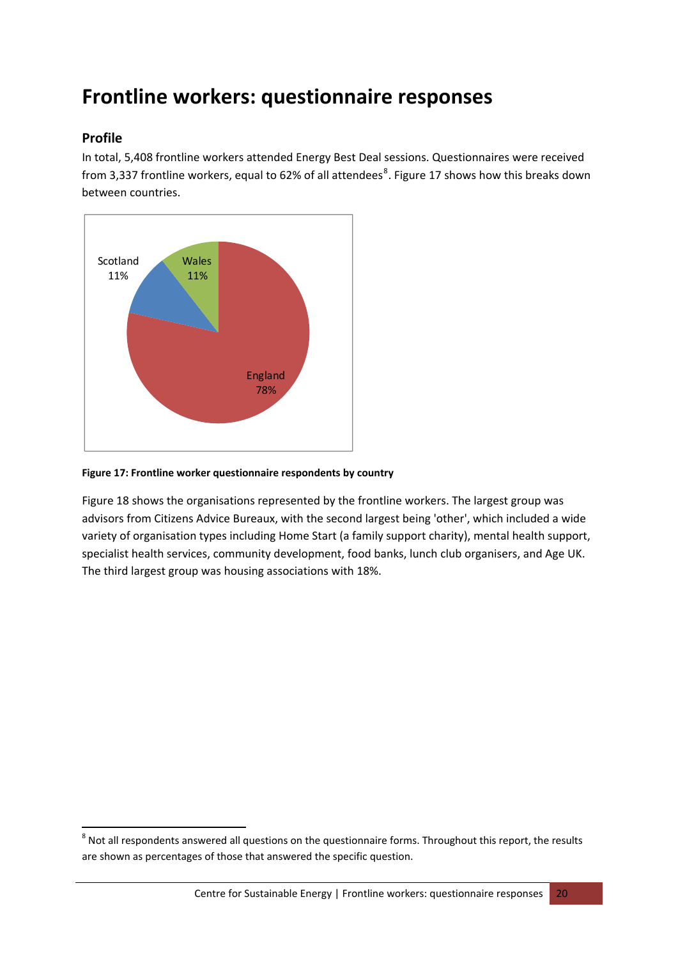# <span id="page-20-0"></span>**Frontline workers: questionnaire responses**

### **Profile**

In total, 5,408 frontline workers attended Energy Best Deal sessions. Questionnaires were received from 3,337 frontline workers, equal to 62% of all attendees<sup>[8](#page-20-1)</sup>. [Figure](#page-20-2) 17 shows how this breaks down between countries.



#### <span id="page-20-2"></span>**Figure 17: Frontline worker questionnaire respondents by country**

[Figure](#page-21-0) 18 shows the organisations represented by the frontline workers. The largest group was advisors from Citizens Advice Bureaux, with the second largest being 'other', which included a wide variety of organisation types including Home Start (a family support charity), mental health support, specialist health services, community development, food banks, lunch club organisers, and Age UK. The third largest group was housing associations with 18%.

<span id="page-20-1"></span><sup>&</sup>lt;sup>8</sup> Not all respondents answered all questions on the questionnaire forms. Throughout this report, the results are shown as percentages of those that answered the specific question.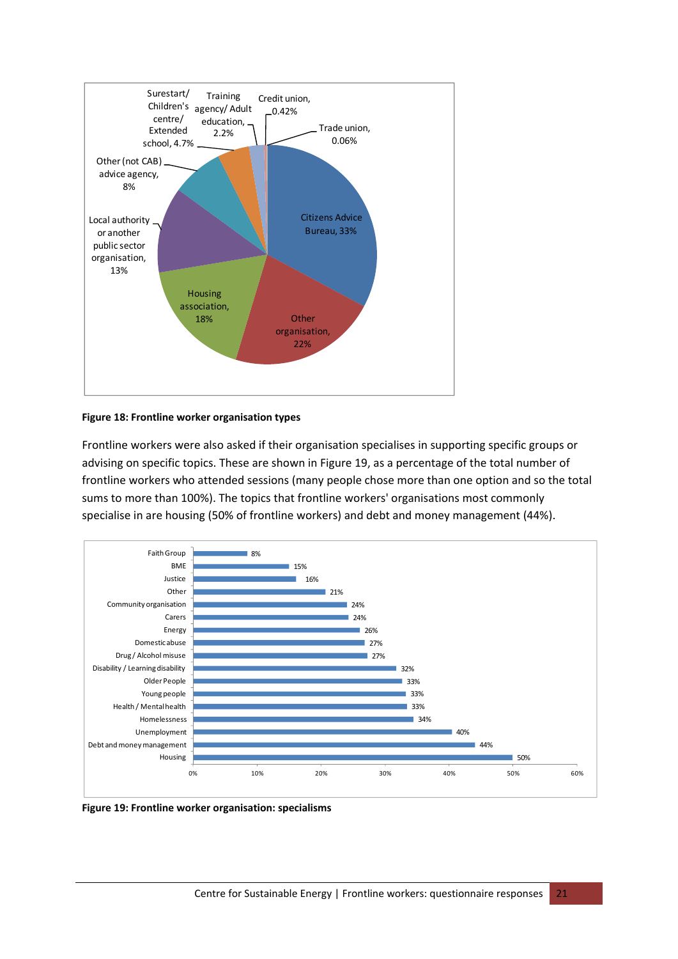

#### <span id="page-21-0"></span>**Figure 18: Frontline worker organisation types**

Frontline workers were also asked if their organisation specialises in supporting specific groups or advising on specific topics. These are shown in [Figure](#page-21-1) 19, as a percentage of the total number of frontline workers who attended sessions (many people chose more than one option and so the total sums to more than 100%). The topics that frontline workers' organisations most commonly specialise in are housing (50% of frontline workers) and debt and money management (44%).



<span id="page-21-1"></span>**Figure 19: Frontline worker organisation: specialisms**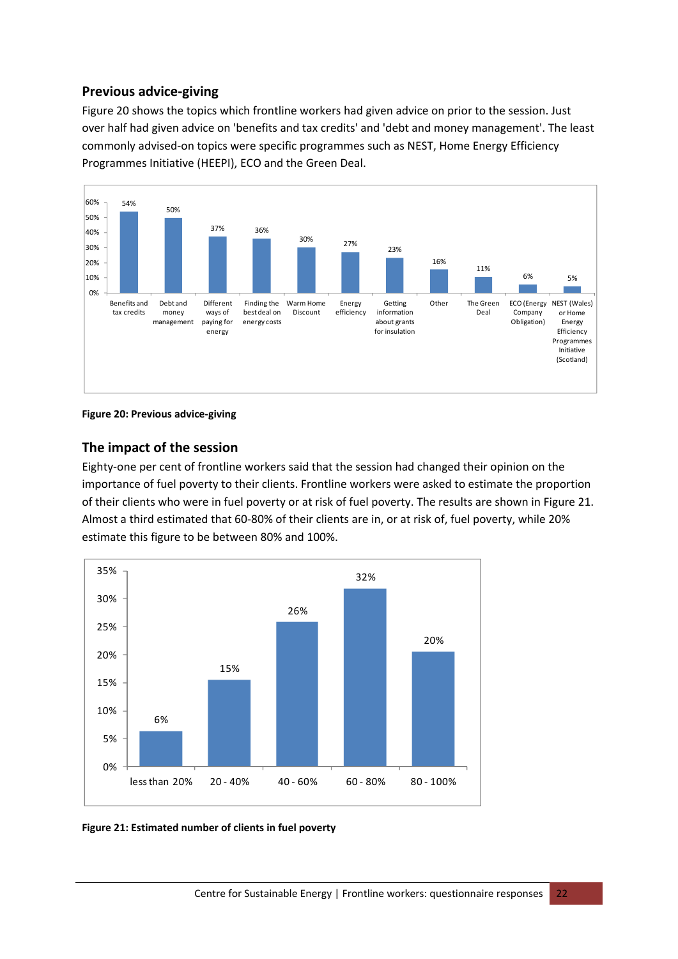# **Previous advice‐giving**

[Figure](#page-22-0) 20 shows the topics which frontline workers had given advice on prior to the session. Just over half had given advice on 'benefits and tax credits' and 'debt and money management'. The least commonly advised‐on topics were specific programmes such as NEST, Home Energy Efficiency Programmes Initiative (HEEPI), ECO and the Green Deal.



#### <span id="page-22-0"></span>**Figure 20: Previous advice‐giving**

### **The impact of the session**

Eighty-one per cent of frontline workers said that the session had changed their opinion on the importance of fuel poverty to their clients. Frontline workers were asked to estimate the proportion of their clients who were in fuel poverty or at risk of fuel poverty. The results are shown in [Figure](#page-22-1) 21. Almost a third estimated that 60‐80% of their clients are in, or at risk of, fuel poverty, while 20% estimate this figure to be between 80% and 100%.



#### <span id="page-22-1"></span>**Figure 21: Estimated number of clients in fuel poverty**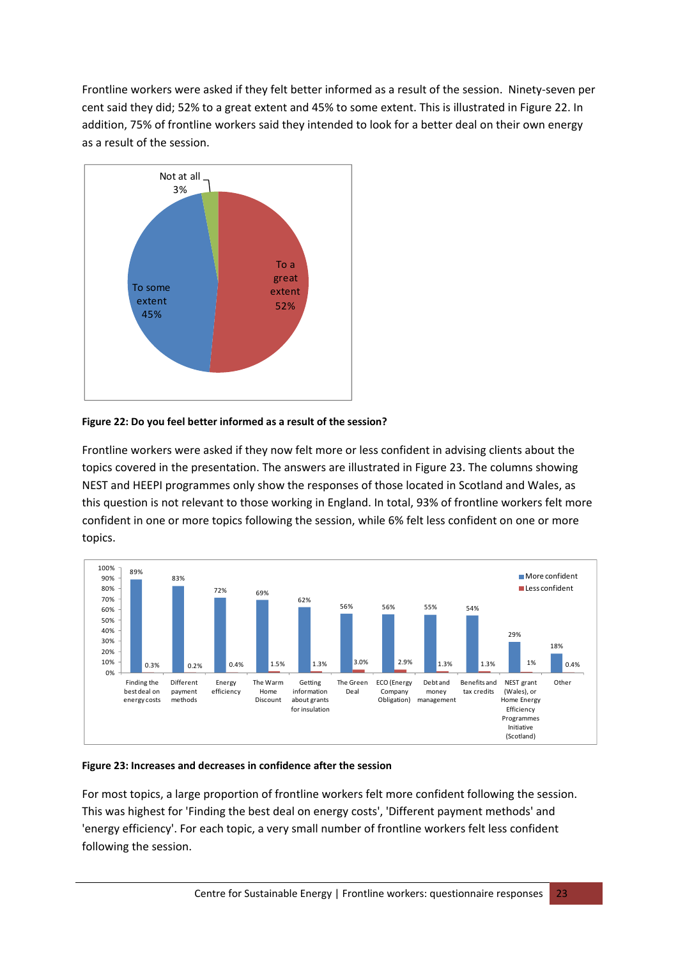Frontline workers were asked if they felt better informed as a result of the session. Ninety‐seven per cent said they did; 52% to a great extent and 45% to some extent. This is illustrated in [Figure](#page-23-0) 22. In addition, 75% of frontline workers said they intended to look for a better deal on their own energy as a result of the session.



#### <span id="page-23-0"></span>**Figure 22: Do you feel better informed as a result of the session?**

Frontline workers were asked if they now felt more or less confident in advising clients about the topics covered in the presentation. The answers are illustrated in [Figure](#page-23-1) 23. The columns showing NEST and HEEPI programmes only show the responses of those located in Scotland and Wales, as this question is not relevant to those working in England. In total, 93% of frontline workers felt more confident in one or more topics following the session, while 6% felt less confident on one or more topics.



#### <span id="page-23-1"></span>**Figure 23: Increases and decreases in confidence after the session**

For most topics, a large proportion of frontline workers felt more confident following the session. This was highest for 'Finding the best deal on energy costs', 'Different payment methods' and 'energy efficiency'. For each topic, a very small number of frontline workers felt less confident following the session.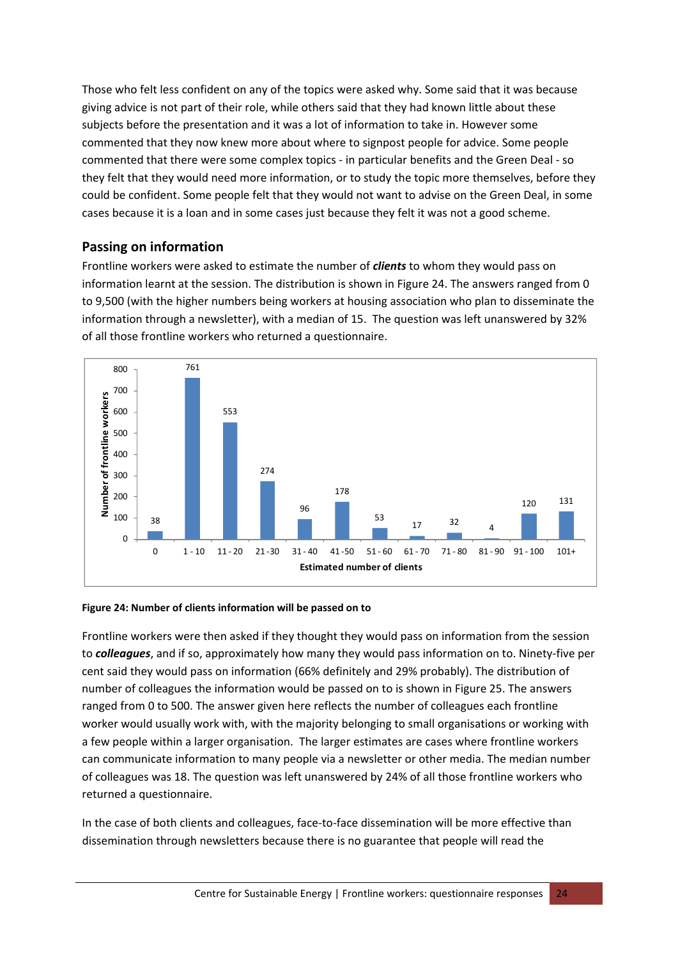Those who felt less confident on any of the topics were asked why. Some said that it was because giving advice is not part of their role, while others said that they had known little about these subjects before the presentation and it was a lot of information to take in. However some commented that they now knew more about where to signpost people for advice. Some people commented that there were some complex topics ‐ in particular benefits and the Green Deal ‐ so they felt that they would need more information, or to study the topic more themselves, before they could be confident. Some people felt that they would not want to advise on the Green Deal, in some cases because it is a loan and in some cases just because they felt it was not a good scheme.

# **Passing on information**

Frontline workers were asked to estimate the number of *clients* to whom they would pass on information learnt at the session. The distribution is shown in [Figure](#page-24-0) 24. The answers ranged from 0 to 9,500 (with the higher numbers being workers at housing association who plan to disseminate the information through a newsletter), with a median of 15. The question was left unanswered by 32% of all those frontline workers who returned a questionnaire.



#### <span id="page-24-0"></span>**Figure 24: Number of clients information will be passed on to**

Frontline workers were then asked if they thought they would pass on information from the session to *colleagues*, and if so, approximately how many they would pass information on to. Ninety‐five per cent said they would pass on information (66% definitely and 29% probably). The distribution of number of colleagues the information would be passed on to is shown in [Figure](#page-25-0) 25. The answers ranged from 0 to 500. The answer given here reflects the number of colleagues each frontline worker would usually work with, with the majority belonging to small organisations or working with a few people within a larger organisation. The larger estimates are cases where frontline workers can communicate information to many people via a newsletter or other media. The median number of colleagues was 18. The question was left unanswered by 24% of all those frontline workers who returned a questionnaire.

In the case of both clients and colleagues, face-to-face dissemination will be more effective than dissemination through newsletters because there is no guarantee that people will read the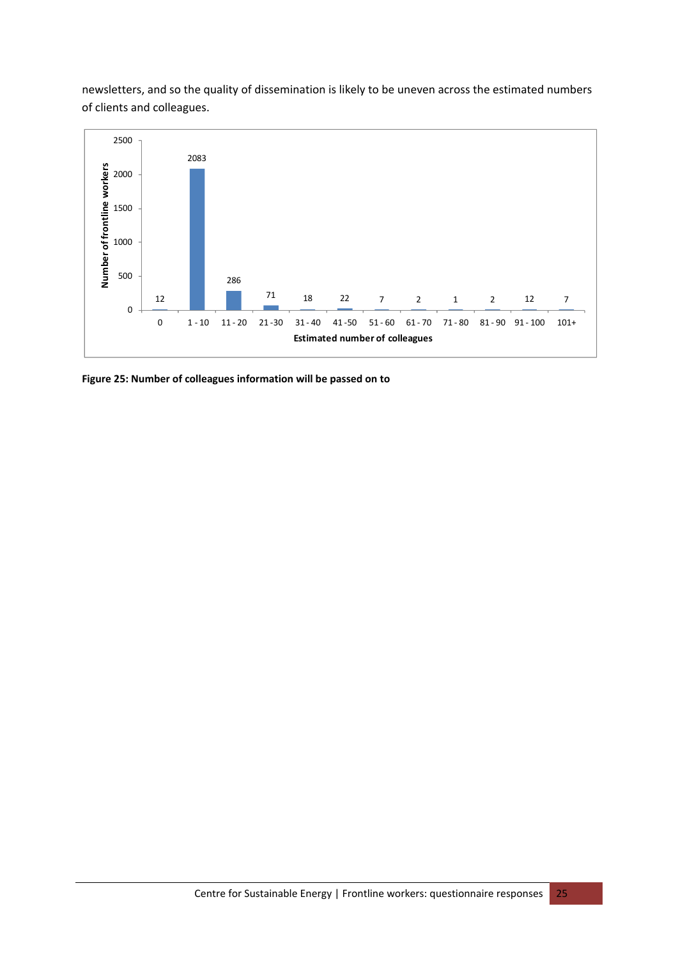newsletters, and so the quality of dissemination is likely to be uneven across the estimated numbers of clients and colleagues.



<span id="page-25-0"></span>**Figure 25: Number of colleagues information will be passed on to**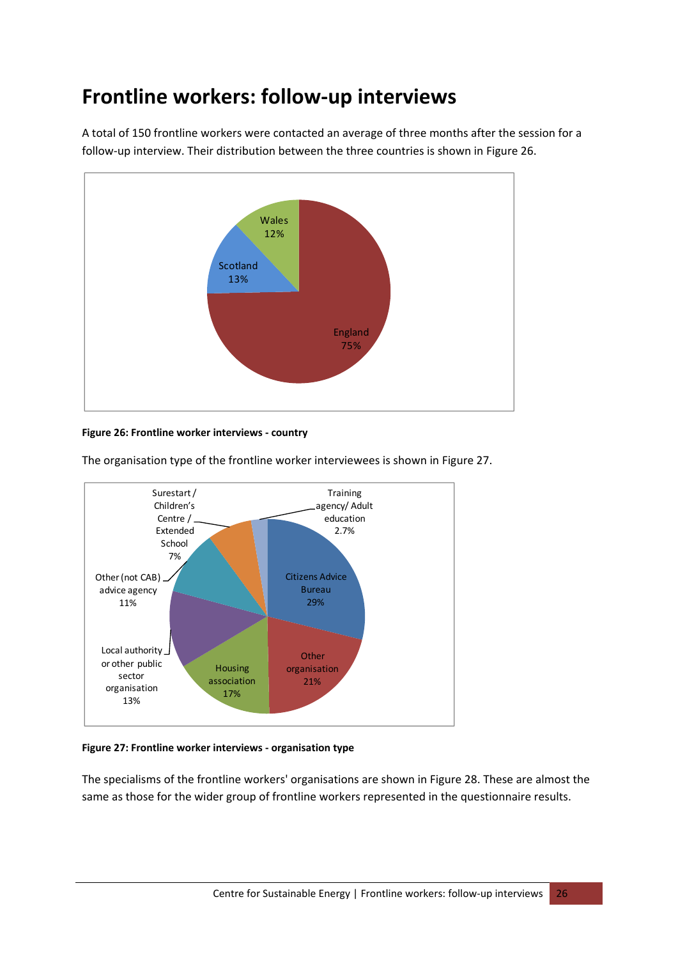# <span id="page-26-0"></span>**Frontline workers: follow‐up interviews**

A total of 150 frontline workers were contacted an average of three months after the session for a follow‐up interview. Their distribution between the three countries is shown in [Figure](#page-26-1) 26.



#### <span id="page-26-1"></span>**Figure 26: Frontline worker interviews ‐ country**



The organisation type of the frontline worker interviewees is shown in [Figure](#page-26-2) 27.

#### <span id="page-26-2"></span>**Figure 27: Frontline worker interviews ‐ organisation type**

The specialisms of the frontline workers' organisations are shown in [Figure](#page-27-0) 28. These are almost the same as those for the wider group of frontline workers represented in the questionnaire results.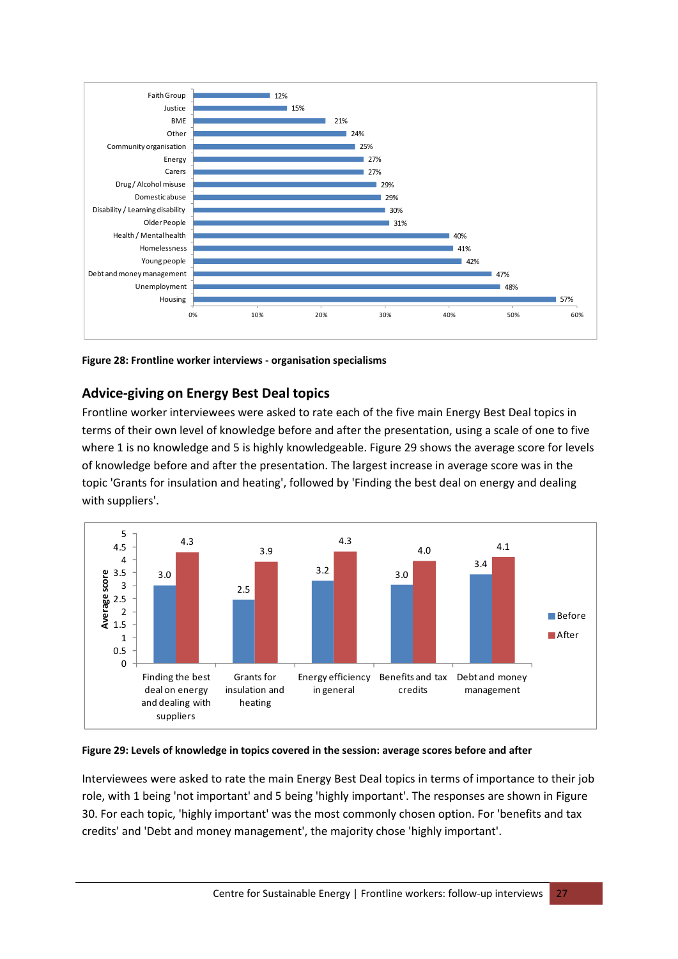

<span id="page-27-0"></span>**Figure 28: Frontline worker interviews ‐ organisation specialisms**

# **Advice‐giving on Energy Best Deal topics**

Frontline worker interviewees were asked to rate each of the five main Energy Best Deal topics in terms of their own level of knowledge before and after the presentation, using a scale of one to five where 1 is no knowledge and 5 is highly knowledgeable. [Figure](#page-27-1) 29 shows the average score for levels of knowledge before and after the presentation. The largest increase in average score was in the topic 'Grants for insulation and heating', followed by 'Finding the best deal on energy and dealing with suppliers'.



#### <span id="page-27-1"></span>**Figure 29: Levels of knowledge in topics covered in the session: average scores before and after**

Interviewees were asked to rate the main Energy Best Deal topics in terms of importance to their job role, with 1 being 'not important' and 5 being 'highly important'. The responses are shown in [Figure](#page-28-0) [30](#page-28-0). For each topic, 'highly important' was the most commonly chosen option. For 'benefits and tax credits' and 'Debt and money management', the majority chose 'highly important'.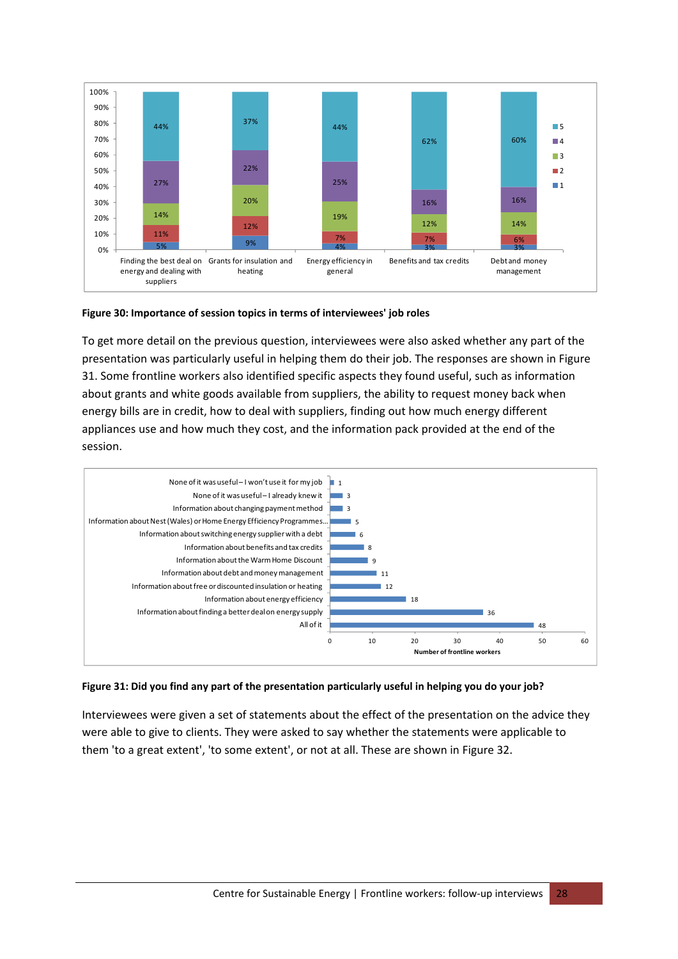

#### <span id="page-28-0"></span>**Figure 30: Importance of session topics in terms of interviewees' job roles**

To get more detail on the previous question, interviewees were also asked whether any part of the presentation was particularly useful in helping them do their job. The responses are shown in [Figure](#page-28-1) [31](#page-28-1). Some frontline workers also identified specific aspects they found useful, such as information about grants and white goods available from suppliers, the ability to request money back when energy bills are in credit, how to deal with suppliers, finding out how much energy different appliances use and how much they cost, and the information pack provided at the end of the session.



#### <span id="page-28-1"></span>Figure 31: Did you find any part of the presentation particularly useful in helping you do your job?

Interviewees were given a set of statements about the effect of the presentation on the advice they were able to give to clients. They were asked to say whether the statements were applicable to them 'to a great extent', 'to some extent', or not at all. These are shown in [Figure](#page-29-0) 32.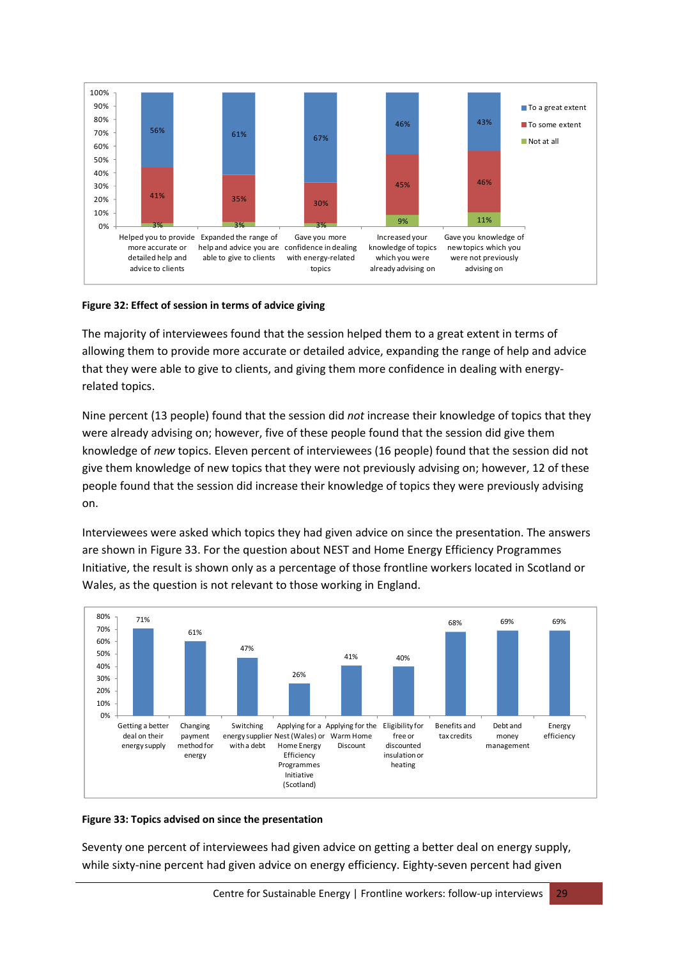

#### <span id="page-29-0"></span>**Figure 32: Effect of session in terms of advice giving**

The majority of interviewees found that the session helped them to a great extent in terms of allowing them to provide more accurate or detailed advice, expanding the range of help and advice that they were able to give to clients, and giving them more confidence in dealing with energy‐ related topics.

Nine percent (13 people) found that the session did *not* increase their knowledge of topics that they were already advising on; however, five of these people found that the session did give them knowledge of *new* topics. Eleven percent of interviewees (16 people) found that the session did not give them knowledge of new topics that they were not previously advising on; however, 12 of these people found that the session did increase their knowledge of topics they were previously advising on.

Interviewees were asked which topics they had given advice on since the presentation. The answers are shown in [Figure](#page-29-1) 33. For the question about NEST and Home Energy Efficiency Programmes Initiative, the result is shown only as a percentage of those frontline workers located in Scotland or Wales, as the question is not relevant to those working in England.



#### <span id="page-29-1"></span>**Figure 33: Topics advised on since the presentation**

Seventy one percent of interviewees had given advice on getting a better deal on energy supply, while sixty-nine percent had given advice on energy efficiency. Eighty-seven percent had given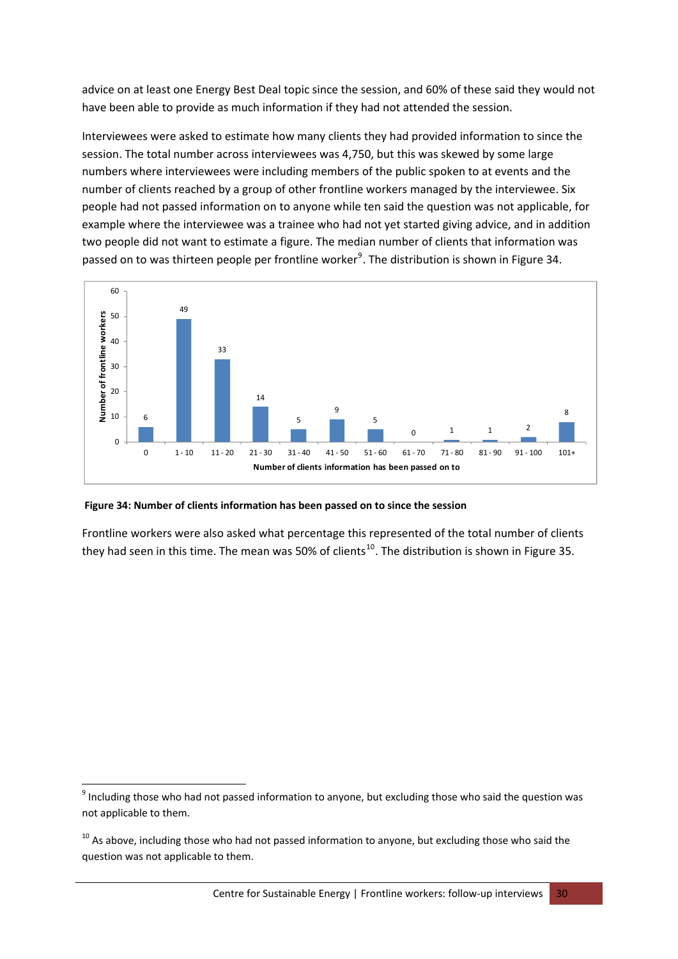advice on at least one Energy Best Deal topic since the session, and 60% of these said they would not have been able to provide as much information if they had not attended the session.

Interviewees were asked to estimate how many clients they had provided information to since the session. The total number across interviewees was 4,750, but this was skewed by some large numbers where interviewees were including members of the public spoken to at events and the number of clients reached by a group of other frontline workers managed by the interviewee. Six people had not passed information on to anyone while ten said the question was not applicable, for example where the interviewee was a trainee who had not yet started giving advice, and in addition two people did not want to estimate a figure. The median number of clients that information was passed on to was thirteen people per frontline worker<sup>[9](#page-30-0)</sup>. The distribution is shown in [Figure](#page-30-1) 34.



#### <span id="page-30-1"></span>**Figure 34: Number of clients information has been passed on to since the session**

Frontline workers were also asked what percentage this represented of the total number of clients they had seen in this time. The mean was 50% of clients<sup>[10](#page-30-2)</sup>. The distribution is shown in [Figure](#page-31-0) 35.

<span id="page-30-0"></span> $^{9}$  Including those who had not passed information to anyone, but excluding those who said the question was not applicable to them.

<span id="page-30-2"></span> $10$  As above, including those who had not passed information to anyone, but excluding those who said the question was not applicable to them.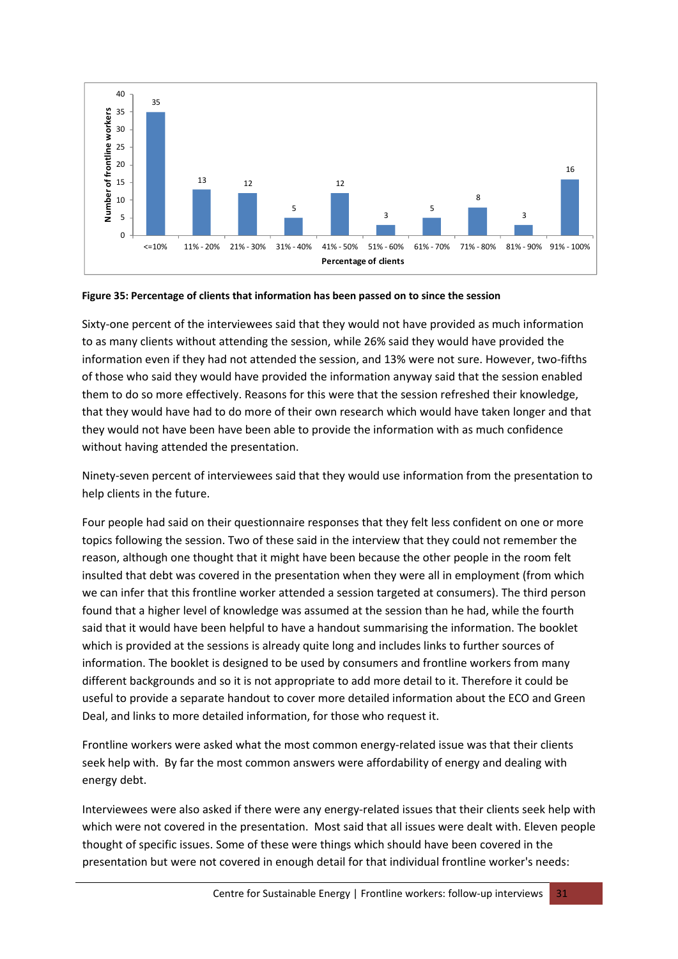

<span id="page-31-0"></span>

Sixty-one percent of the interviewees said that they would not have provided as much information to as many clients without attending the session, while 26% said they would have provided the information even if they had not attended the session, and 13% were not sure. However, two‐fifths of those who said they would have provided the information anyway said that the session enabled them to do so more effectively. Reasons for this were that the session refreshed their knowledge, that they would have had to do more of their own research which would have taken longer and that they would not have been have been able to provide the information with as much confidence without having attended the presentation.

Ninety‐seven percent of interviewees said that they would use information from the presentation to help clients in the future.

Four people had said on their questionnaire responses that they felt less confident on one or more topics following the session. Two of these said in the interview that they could not remember the reason, although one thought that it might have been because the other people in the room felt insulted that debt was covered in the presentation when they were all in employment (from which we can infer that this frontline worker attended a session targeted at consumers). The third person found that a higher level of knowledge was assumed at the session than he had, while the fourth said that it would have been helpful to have a handout summarising the information. The booklet which is provided at the sessions is already quite long and includes links to further sources of information. The booklet is designed to be used by consumers and frontline workers from many different backgrounds and so it is not appropriate to add more detail to it. Therefore it could be useful to provide a separate handout to cover more detailed information about the ECO and Green Deal, and links to more detailed information, for those who request it.

Frontline workers were asked what the most common energy-related issue was that their clients seek help with. By far the most common answers were affordability of energy and dealing with energy debt.

Interviewees were also asked if there were any energy-related issues that their clients seek help with which were not covered in the presentation. Most said that all issues were dealt with. Eleven people thought of specific issues. Some of these were things which should have been covered in the presentation but were not covered in enough detail for that individual frontline worker's needs: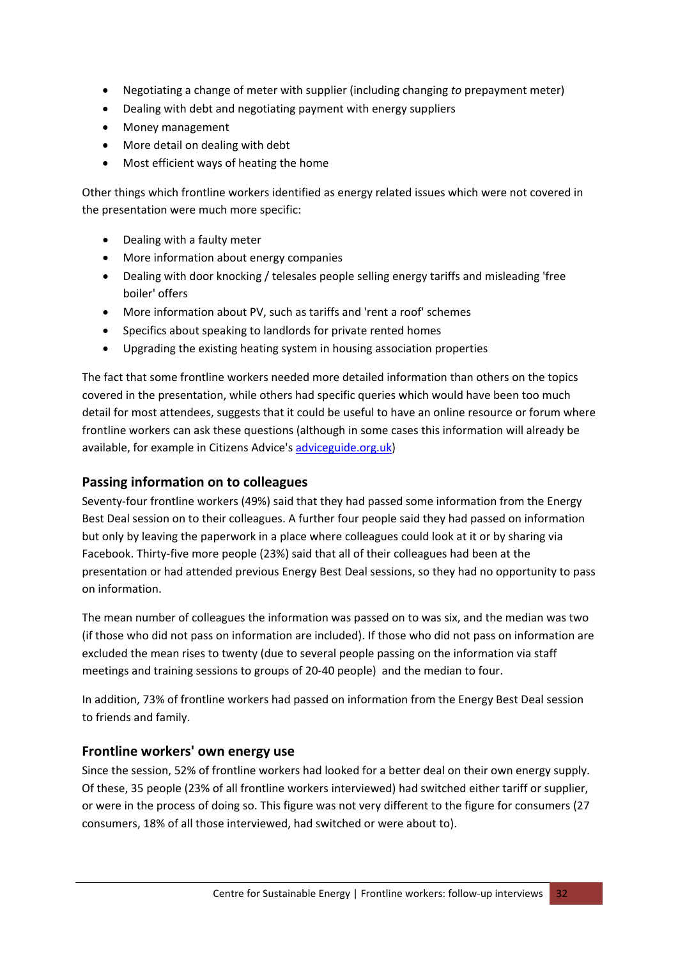- Negotiating a change of meter with supplier (including changing *to* prepayment meter)
- Dealing with debt and negotiating payment with energy suppliers
- Money management
- More detail on dealing with debt
- Most efficient ways of heating the home

Other things which frontline workers identified as energy related issues which were not covered in the presentation were much more specific:

- Dealing with a faulty meter
- More information about energy companies
- Dealing with door knocking / telesales people selling energy tariffs and misleading 'free boiler' offers
- More information about PV, such as tariffs and 'rent a roof' schemes
- Specifics about speaking to landlords for private rented homes
- Upgrading the existing heating system in housing association properties

The fact that some frontline workers needed more detailed information than others on the topics covered in the presentation, while others had specific queries which would have been too much detail for most attendees, suggests that it could be useful to have an online resource or forum where frontline workers can ask these questions (although in some cases this information will already be available, for example in Citizens Advice's adviceguide.org.uk)

### **Passing information on to colleagues**

Seventy-four frontline workers (49%) said that they had passed some information from the Energy Best Deal session on to their colleagues. A further four people said they had passed on information but only by leaving the paperwork in a place where colleagues could look at it or by sharing via Facebook. Thirty‐five more people (23%) said that all of their colleagues had been at the presentation or had attended previous Energy Best Deal sessions, so they had no opportunity to pass on information.

The mean number of colleagues the information was passed on to was six, and the median was two (if those who did not pass on information are included). If those who did not pass on information are excluded the mean rises to twenty (due to several people passing on the information via staff meetings and training sessions to groups of 20‐40 people) and the median to four.

In addition, 73% of frontline workers had passed on information from the Energy Best Deal session to friends and family.

#### **Frontline workers' own energy use**

Since the session, 52% of frontline workers had looked for a better deal on their own energy supply. Of these, 35 people (23% of all frontline workers interviewed) had switched either tariff or supplier, or were in the process of doing so. This figure was not very different to the figure for consumers (27 consumers, 18% of all those interviewed, had switched or were about to).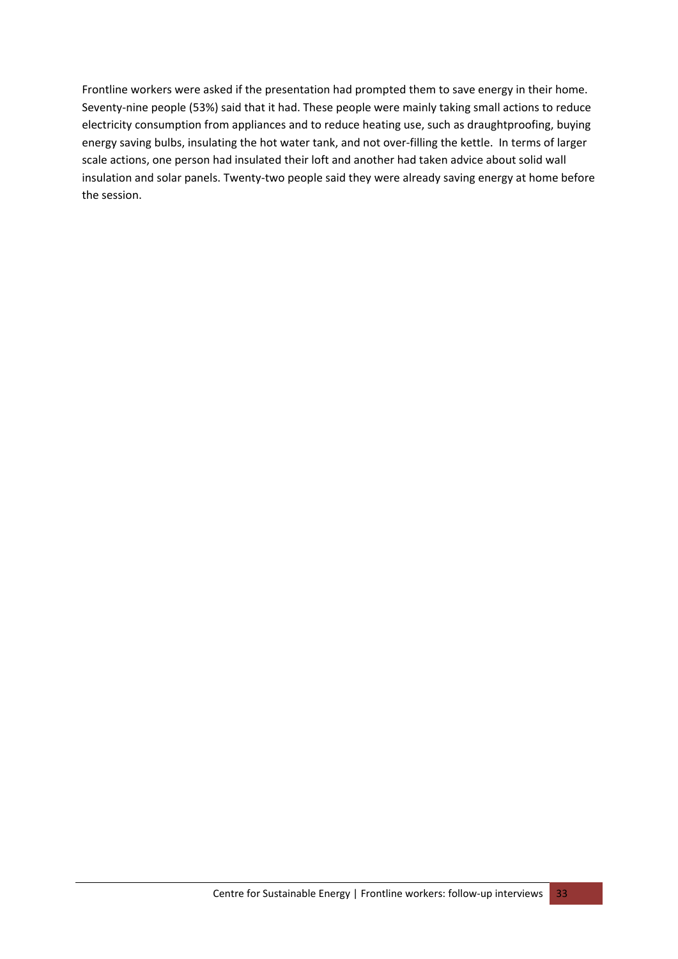Frontline workers were asked if the presentation had prompted them to save energy in their home. Seventy‐nine people (53%) said that it had. These people were mainly taking small actions to reduce electricity consumption from appliances and to reduce heating use, such as draughtproofing, buying energy saving bulbs, insulating the hot water tank, and not over-filling the kettle. In terms of larger scale actions, one person had insulated their loft and another had taken advice about solid wall insulation and solar panels. Twenty‐two people said they were already saving energy at home before the session.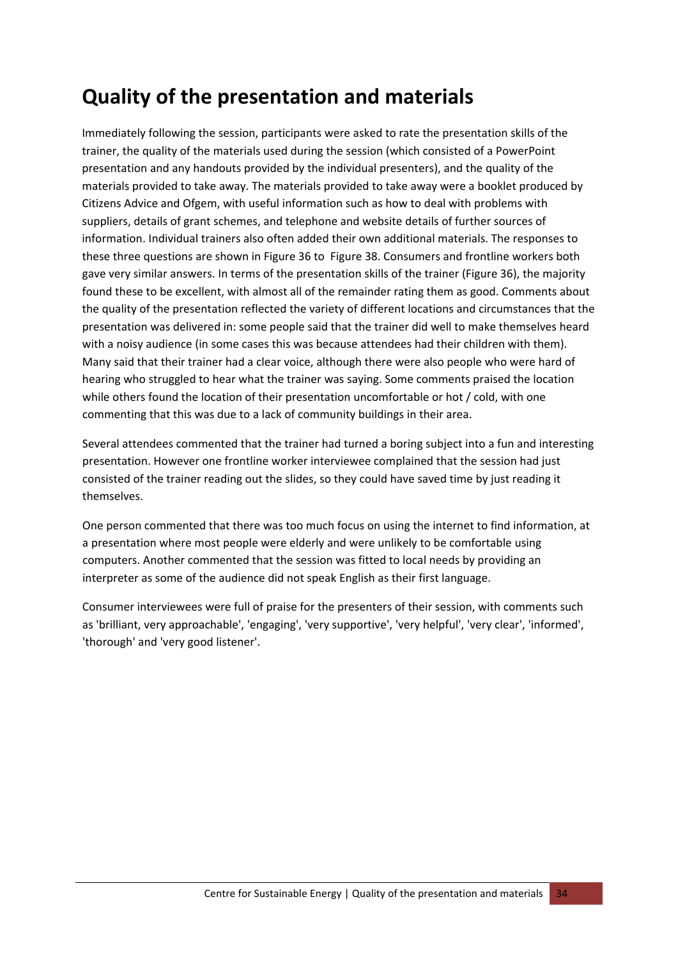# <span id="page-34-0"></span>**Quality of the presentation and materials**

Immediately following the session, participants were asked to rate the presentation skills of the trainer, the quality of the materials used during the session (which consisted of a PowerPoint presentation and any handouts provided by the individual presenters), and the quality of the materials provided to take away. The materials provided to take away were a booklet produced by Citizens Advice and Ofgem, with useful information such as how to deal with problems with suppliers, details of grant schemes, and telephone and website details of further sources of information. Individual trainers also often added their own additional materials. The responses to these three questions are shown in [Figure](#page-35-0) 36 to [Figure](#page-36-0) 38. Consumers and frontline workers both gave very similar answers. In terms of the presentation skills of the trainer [\(Figure](#page-35-0) 36), the majority found these to be excellent, with almost all of the remainder rating them as good. Comments about the quality of the presentation reflected the variety of different locations and circumstances that the presentation was delivered in: some people said that the trainer did well to make themselves heard with a noisy audience (in some cases this was because attendees had their children with them). Many said that their trainer had a clear voice, although there were also people who were hard of hearing who struggled to hear what the trainer was saying. Some comments praised the location while others found the location of their presentation uncomfortable or hot / cold, with one commenting that this was due to a lack of community buildings in their area.

Several attendees commented that the trainer had turned a boring subject into a fun and interesting presentation. However one frontline worker interviewee complained that the session had just consisted of the trainer reading out the slides, so they could have saved time by just reading it themselves.

One person commented that there was too much focus on using the internet to find information, at a presentation where most people were elderly and were unlikely to be comfortable using computers. Another commented that the session was fitted to local needs by providing an interpreter as some of the audience did not speak English as their first language.

Consumer interviewees were full of praise for the presenters of their session, with comments such as 'brilliant, very approachable', 'engaging', 'very supportive', 'very helpful', 'very clear', 'informed', 'thorough' and 'very good listener'.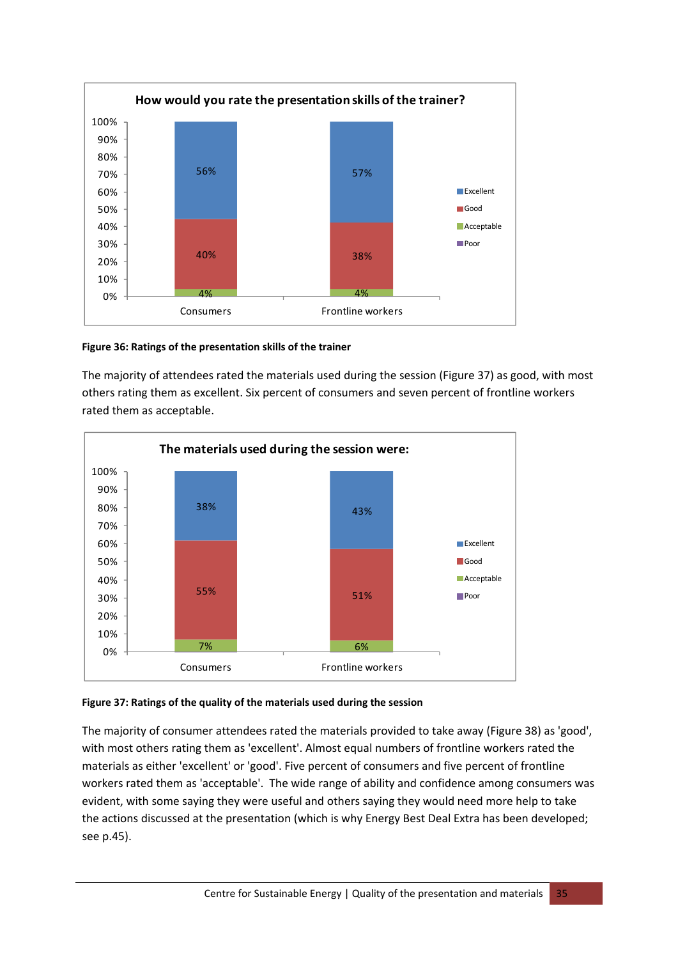

#### <span id="page-35-0"></span>**Figure 36: Ratings of the presentation skills of the trainer**

The majority of attendees rated the materials used during the session [\(Figure](#page-35-1) 37) as good, with most others rating them as excellent. Six percent of consumers and seven percent of frontline workers rated them as acceptable.



#### <span id="page-35-1"></span>**Figure 37: Ratings of the quality of the materials used during the session**

The majority of consumer attendees rated the materials provided to take away ([Figure](#page-36-0) 38) as 'good', with most others rating them as 'excellent'. Almost equal numbers of frontline workers rated the materials as either 'excellent' or 'good'. Five percent of consumers and five percent of frontline workers rated them as 'acceptable'. The wide range of ability and confidence among consumers was evident, with some saying they were useful and others saying they would need more help to take the actions discussed at the presentation (which is why Energy Best Deal Extra has been developed; see p[.45](#page-45-1)).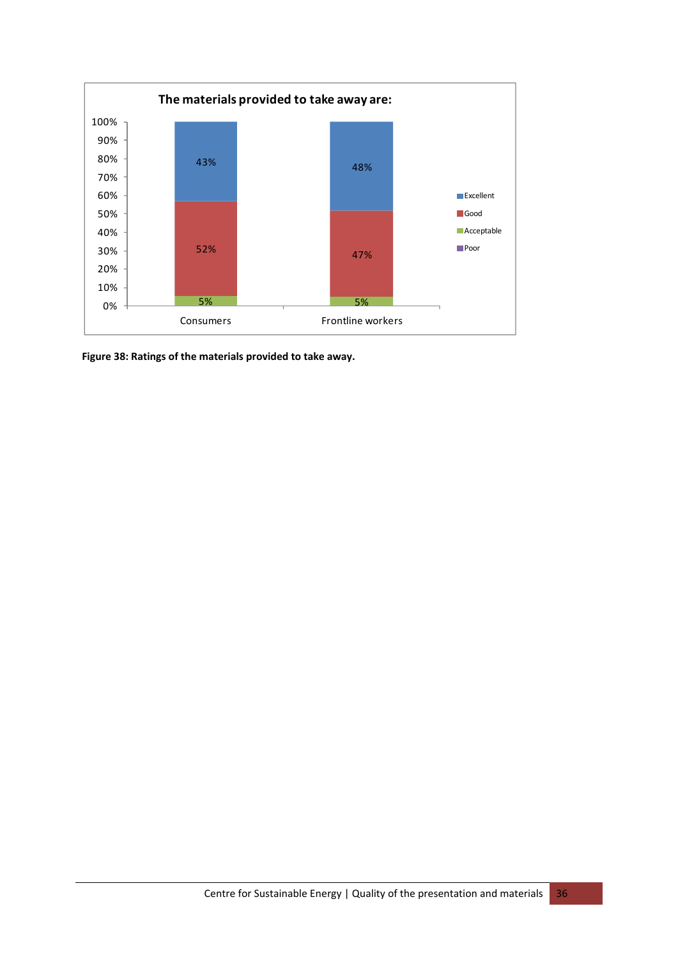

<span id="page-36-0"></span>**Figure 38: Ratings of the materials provided to take away.**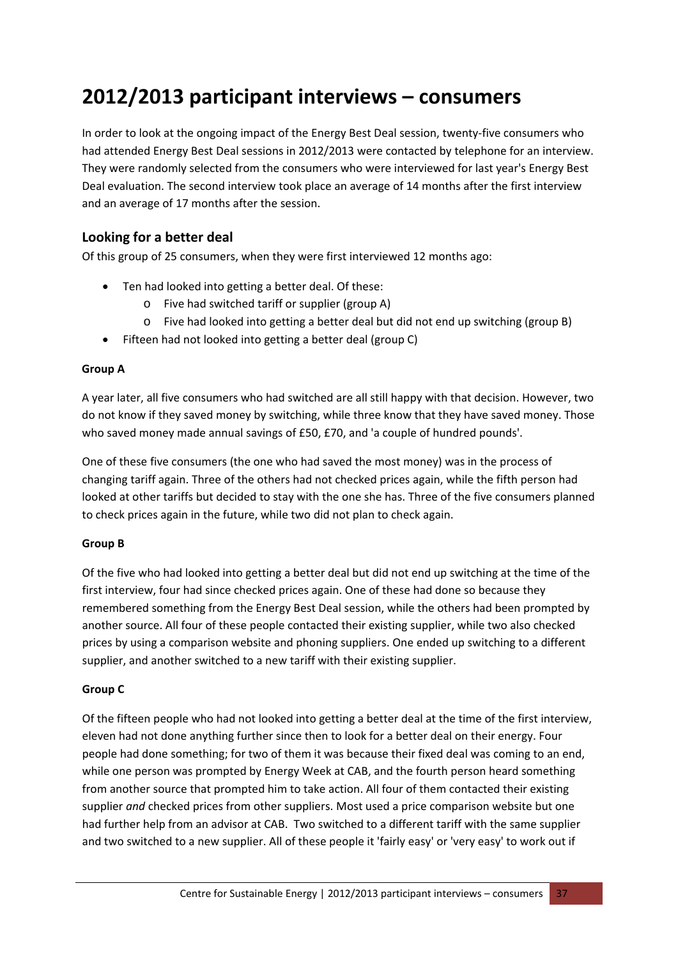# <span id="page-37-0"></span>**2012/2013 participant interviews – consumers**

In order to look at the ongoing impact of the Energy Best Deal session, twenty‐five consumers who had attended Energy Best Deal sessions in 2012/2013 were contacted by telephone for an interview. They were randomly selected from the consumers who were interviewed for last year's Energy Best Deal evaluation. The second interview took place an average of 14 months after the first interview and an average of 17 months after the session.

# **Looking for a better deal**

Of this group of 25 consumers, when they were first interviewed 12 months ago:

- Ten had looked into getting a better deal. Of these:
	- o Five had switched tariff or supplier (group A)
	- o Five had looked into getting a better deal but did not end up switching (group B)
- Fifteen had not looked into getting a better deal (group C)

#### **Group A**

A year later, all five consumers who had switched are all still happy with that decision. However, two do not know if they saved money by switching, while three know that they have saved money. Those who saved money made annual savings of £50, £70, and 'a couple of hundred pounds'.

One of these five consumers (the one who had saved the most money) was in the process of changing tariff again. Three of the others had not checked prices again, while the fifth person had looked at other tariffs but decided to stay with the one she has. Three of the five consumers planned to check prices again in the future, while two did not plan to check again.

#### **Group B**

Of the five who had looked into getting a better deal but did not end up switching at the time of the first interview, four had since checked prices again. One of these had done so because they remembered something from the Energy Best Deal session, while the others had been prompted by another source. All four of these people contacted their existing supplier, while two also checked prices by using a comparison website and phoning suppliers. One ended up switching to a different supplier, and another switched to a new tariff with their existing supplier.

#### **Group C**

Of the fifteen people who had not looked into getting a better deal at the time of the first interview, eleven had not done anything further since then to look for a better deal on their energy. Four people had done something; for two of them it was because their fixed deal was coming to an end, while one person was prompted by Energy Week at CAB, and the fourth person heard something from another source that prompted him to take action. All four of them contacted their existing supplier *and* checked prices from other suppliers. Most used a price comparison website but one had further help from an advisor at CAB. Two switched to a different tariff with the same supplier and two switched to a new supplier. All of these people it 'fairly easy' or 'very easy' to work out if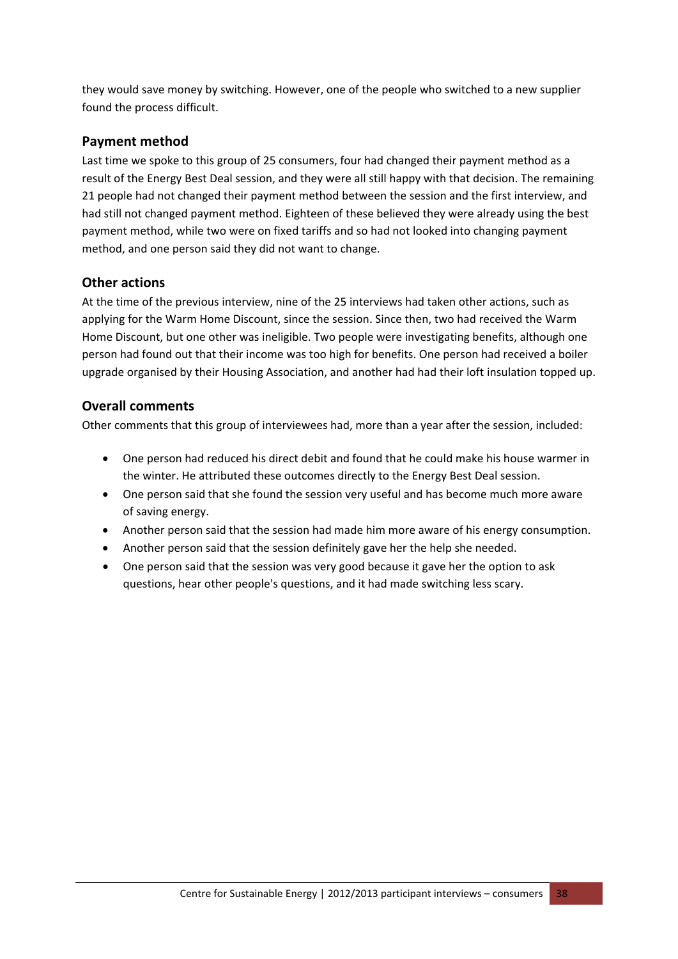they would save money by switching. However, one of the people who switched to a new supplier found the process difficult.

# **Payment method**

Last time we spoke to this group of 25 consumers, four had changed their payment method as a result of the Energy Best Deal session, and they were all still happy with that decision. The remaining 21 people had not changed their payment method between the session and the first interview, and had still not changed payment method. Eighteen of these believed they were already using the best payment method, while two were on fixed tariffs and so had not looked into changing payment method, and one person said they did not want to change.

# **Other actions**

At the time of the previous interview, nine of the 25 interviews had taken other actions, such as applying for the Warm Home Discount, since the session. Since then, two had received the Warm Home Discount, but one other was ineligible. Two people were investigating benefits, although one person had found out that their income was too high for benefits. One person had received a boiler upgrade organised by their Housing Association, and another had had their loft insulation topped up.

# **Overall comments**

Other comments that this group of interviewees had, more than a year after the session, included:

- One person had reduced his direct debit and found that he could make his house warmer in the winter. He attributed these outcomes directly to the Energy Best Deal session.
- One person said that she found the session very useful and has become much more aware of saving energy.
- Another person said that the session had made him more aware of his energy consumption.
- Another person said that the session definitely gave her the help she needed.
- One person said that the session was very good because it gave her the option to ask questions, hear other people's questions, and it had made switching less scary.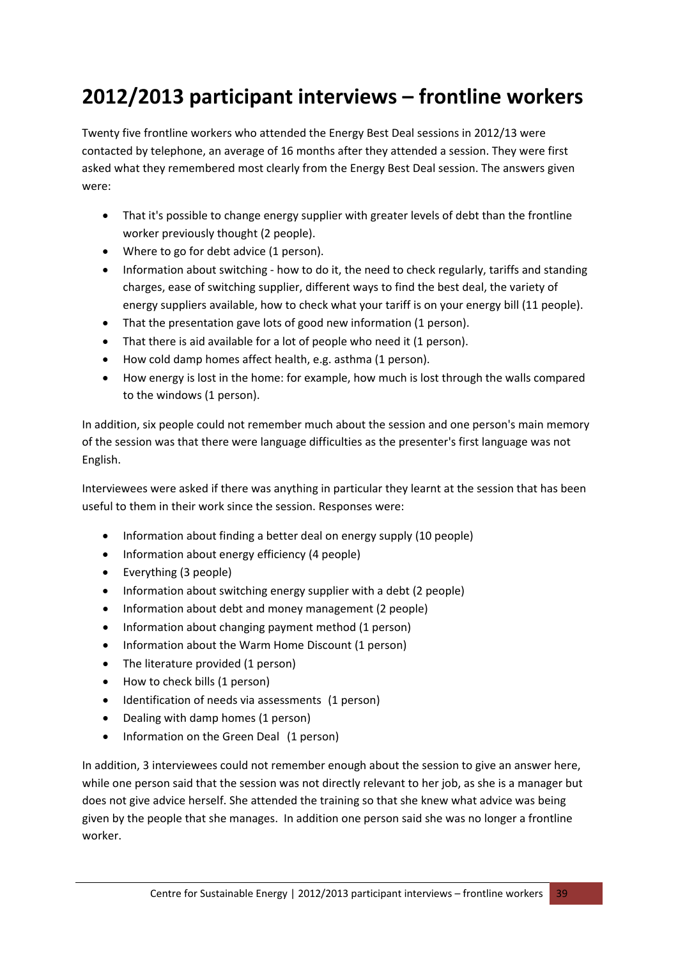# <span id="page-39-0"></span>**2012/2013 participant interviews – frontline workers**

Twenty five frontline workers who attended the Energy Best Deal sessions in 2012/13 were contacted by telephone, an average of 16 months after they attended a session. They were first asked what they remembered most clearly from the Energy Best Deal session. The answers given were:

- That it's possible to change energy supplier with greater levels of debt than the frontline worker previously thought (2 people).
- Where to go for debt advice (1 person).
- Information about switching how to do it, the need to check regularly, tariffs and standing charges, ease of switching supplier, different ways to find the best deal, the variety of energy suppliers available, how to check what your tariff is on your energy bill (11 people).
- That the presentation gave lots of good new information (1 person).
- That there is aid available for a lot of people who need it (1 person).
- How cold damp homes affect health, e.g. asthma (1 person).
- How energy is lost in the home: for example, how much is lost through the walls compared to the windows (1 person).

In addition, six people could not remember much about the session and one person's main memory of the session was that there were language difficulties as the presenter's first language was not English.

Interviewees were asked if there was anything in particular they learnt at the session that has been useful to them in their work since the session. Responses were:

- Information about finding a better deal on energy supply (10 people)
- Information about energy efficiency (4 people)
- Everything (3 people)
- Information about switching energy supplier with a debt (2 people)
- Information about debt and money management (2 people)
- Information about changing payment method (1 person)
- Information about the Warm Home Discount (1 person)
- The literature provided (1 person)
- How to check bills (1 person)
- Identification of needs via assessments (1 person)
- Dealing with damp homes (1 person)
- Information on the Green Deal (1 person)

In addition, 3 interviewees could not remember enough about the session to give an answer here, while one person said that the session was not directly relevant to her job, as she is a manager but does not give advice herself. She attended the training so that she knew what advice was being given by the people that she manages. In addition one person said she was no longer a frontline worker.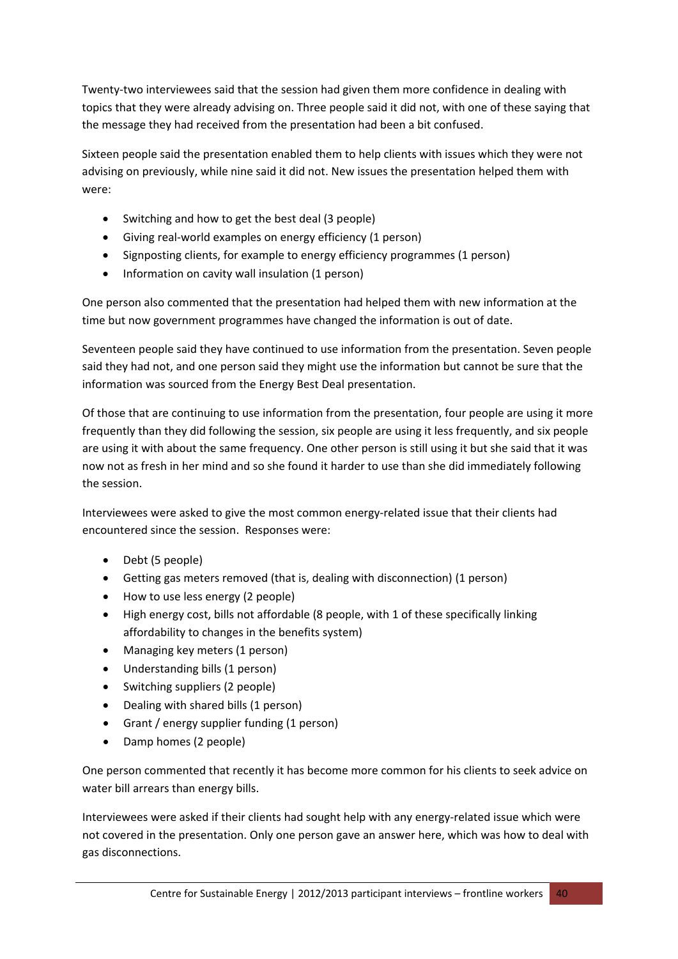Twenty-two interviewees said that the session had given them more confidence in dealing with topics that they were already advising on. Three people said it did not, with one of these saying that the message they had received from the presentation had been a bit confused.

Sixteen people said the presentation enabled them to help clients with issues which they were not advising on previously, while nine said it did not. New issues the presentation helped them with were:

- Switching and how to get the best deal (3 people)
- Giving real‐world examples on energy efficiency (1 person)
- Signposting clients, for example to energy efficiency programmes (1 person)
- Information on cavity wall insulation (1 person)

One person also commented that the presentation had helped them with new information at the time but now government programmes have changed the information is out of date.

Seventeen people said they have continued to use information from the presentation. Seven people said they had not, and one person said they might use the information but cannot be sure that the information was sourced from the Energy Best Deal presentation.

Of those that are continuing to use information from the presentation, four people are using it more frequently than they did following the session, six people are using it less frequently, and six people are using it with about the same frequency. One other person is still using it but she said that it was now not as fresh in her mind and so she found it harder to use than she did immediately following the session.

Interviewees were asked to give the most common energy-related issue that their clients had encountered since the session. Responses were:

- Debt (5 people)
- Getting gas meters removed (that is, dealing with disconnection) (1 person)
- How to use less energy (2 people)
- High energy cost, bills not affordable (8 people, with 1 of these specifically linking affordability to changes in the benefits system)
- Managing key meters (1 person)
- Understanding bills (1 person)
- Switching suppliers (2 people)
- Dealing with shared bills (1 person)
- Grant / energy supplier funding (1 person)
- Damp homes (2 people)

One person commented that recently it has become more common for his clients to seek advice on water bill arrears than energy bills.

Interviewees were asked if their clients had sought help with any energy-related issue which were not covered in the presentation. Only one person gave an answer here, which was how to deal with gas disconnections.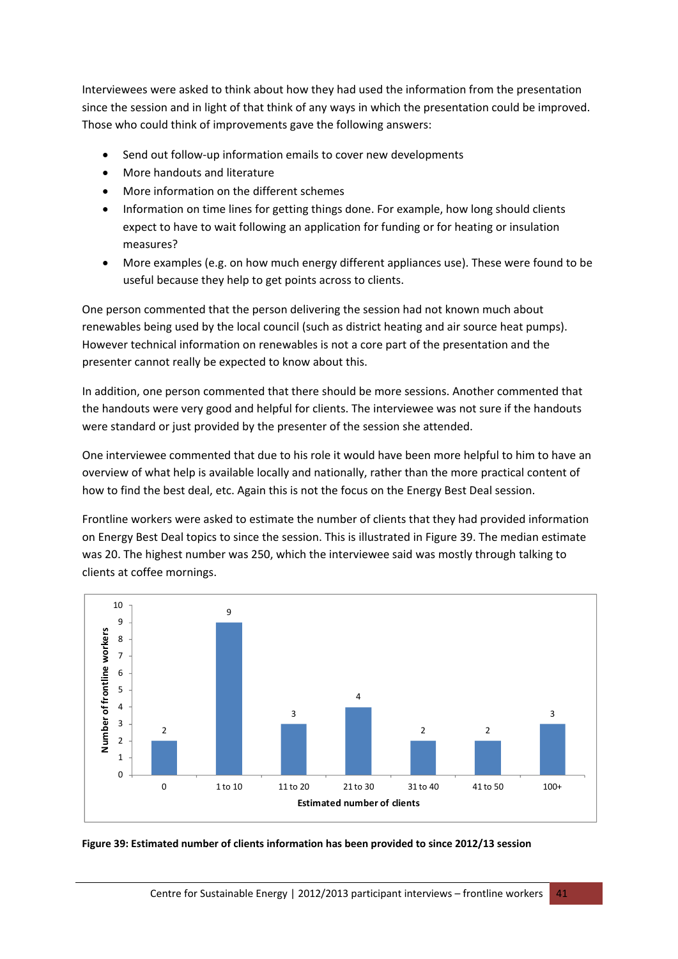Interviewees were asked to think about how they had used the information from the presentation since the session and in light of that think of any ways in which the presentation could be improved. Those who could think of improvements gave the following answers:

- Send out follow-up information emails to cover new developments
- More handouts and literature
- More information on the different schemes
- Information on time lines for getting things done. For example, how long should clients expect to have to wait following an application for funding or for heating or insulation measures?
- More examples (e.g. on how much energy different appliances use). These were found to be useful because they help to get points across to clients.

One person commented that the person delivering the session had not known much about renewables being used by the local council (such as district heating and air source heat pumps). However technical information on renewables is not a core part of the presentation and the presenter cannot really be expected to know about this.

In addition, one person commented that there should be more sessions. Another commented that the handouts were very good and helpful for clients. The interviewee was not sure if the handouts were standard or just provided by the presenter of the session she attended.

One interviewee commented that due to his role it would have been more helpful to him to have an overview of what help is available locally and nationally, rather than the more practical content of how to find the best deal, etc. Again this is not the focus on the Energy Best Deal session.

Frontline workers were asked to estimate the number of clients that they had provided information on Energy Best Deal topics to since the session. This is illustrated in [Figure](#page-41-0) 39. The median estimate was 20. The highest number was 250, which the interviewee said was mostly through talking to clients at coffee mornings.



<span id="page-41-0"></span>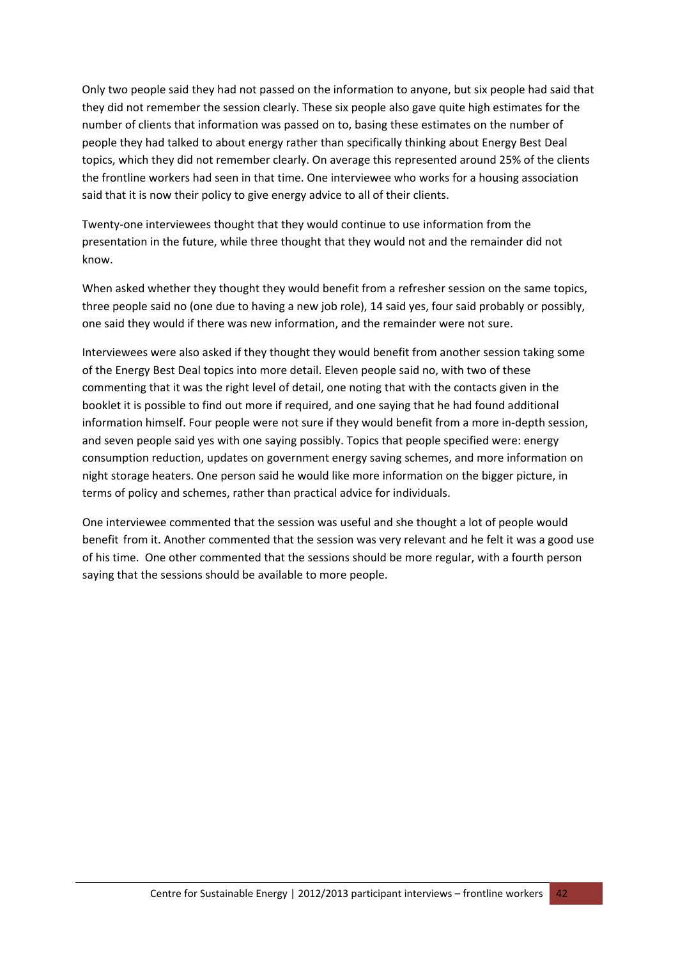Only two people said they had not passed on the information to anyone, but six people had said that they did not remember the session clearly. These six people also gave quite high estimates for the number of clients that information was passed on to, basing these estimates on the number of people they had talked to about energy rather than specifically thinking about Energy Best Deal topics, which they did not remember clearly. On average this represented around 25% of the clients the frontline workers had seen in that time. One interviewee who works for a housing association said that it is now their policy to give energy advice to all of their clients.

Twenty‐one interviewees thought that they would continue to use information from the presentation in the future, while three thought that they would not and the remainder did not know.

When asked whether they thought they would benefit from a refresher session on the same topics, three people said no (one due to having a new job role), 14 said yes, four said probably or possibly, one said they would if there was new information, and the remainder were not sure.

Interviewees were also asked if they thought they would benefit from another session taking some of the Energy Best Deal topics into more detail. Eleven people said no, with two of these commenting that it was the right level of detail, one noting that with the contacts given in the booklet it is possible to find out more if required, and one saying that he had found additional information himself. Four people were not sure if they would benefit from a more in‐depth session, and seven people said yes with one saying possibly. Topics that people specified were: energy consumption reduction, updates on government energy saving schemes, and more information on night storage heaters. One person said he would like more information on the bigger picture, in terms of policy and schemes, rather than practical advice for individuals.

One interviewee commented that the session was useful and she thought a lot of people would benefit from it. Another commented that the session was very relevant and he felt it was a good use of his time. One other commented that the sessions should be more regular, with a fourth person saying that the sessions should be available to more people.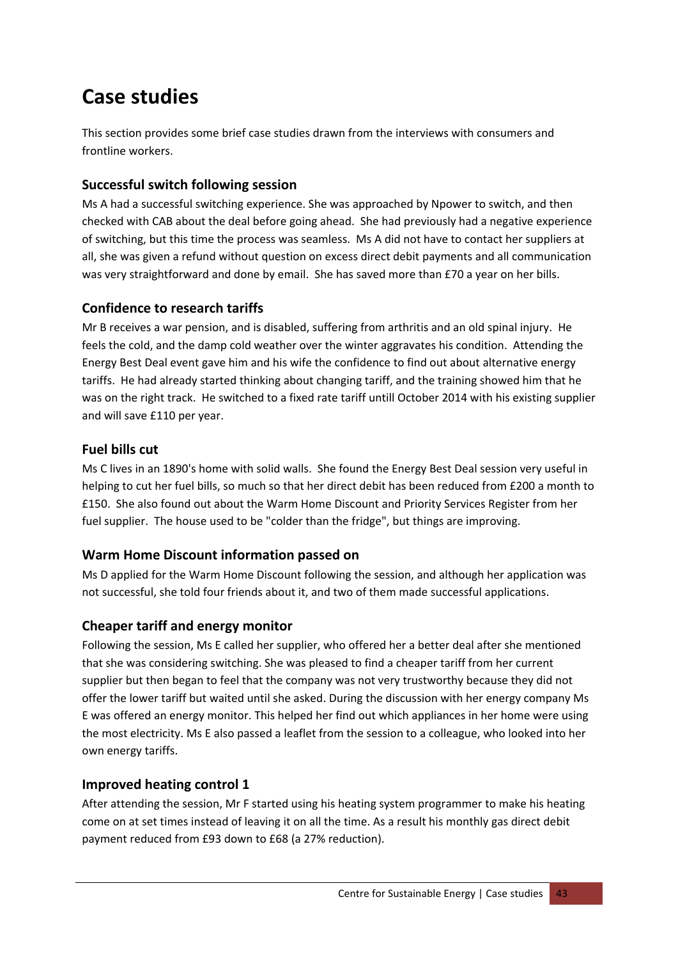# <span id="page-43-0"></span>**Case studies**

This section provides some brief case studies drawn from the interviews with consumers and frontline workers.

# **Successful switch following session**

Ms A had a successful switching experience. She was approached by Npower to switch, and then checked with CAB about the deal before going ahead. She had previously had a negative experience of switching, but this time the process was seamless. Ms A did not have to contact her suppliers at all, she was given a refund without question on excess direct debit payments and all communication was very straightforward and done by email. She has saved more than £70 a year on her bills.

# **Confidence to research tariffs**

Mr B receives a war pension, and is disabled, suffering from arthritis and an old spinal injury. He feels the cold, and the damp cold weather over the winter aggravates his condition. Attending the Energy Best Deal event gave him and his wife the confidence to find out about alternative energy tariffs. He had already started thinking about changing tariff, and the training showed him that he was on the right track. He switched to a fixed rate tariff untill October 2014 with his existing supplier and will save £110 per year.

# **Fuel bills cut**

Ms C lives in an 1890's home with solid walls. She found the Energy Best Deal session very useful in helping to cut her fuel bills, so much so that her direct debit has been reduced from £200 a month to £150. She also found out about the Warm Home Discount and Priority Services Register from her fuel supplier. The house used to be "colder than the fridge", but things are improving.

# **Warm Home Discount information passed on**

Ms D applied for the Warm Home Discount following the session, and although her application was not successful, she told four friends about it, and two of them made successful applications.

# **Cheaper tariff and energy monitor**

Following the session, Ms E called her supplier, who offered her a better deal after she mentioned that she was considering switching. She was pleased to find a cheaper tariff from her current supplier but then began to feel that the company was not very trustworthy because they did not offer the lower tariff but waited until she asked. During the discussion with her energy company Ms E was offered an energy monitor. This helped her find out which appliances in her home were using the most electricity. Ms E also passed a leaflet from the session to a colleague, who looked into her own energy tariffs.

# **Improved heating control 1**

After attending the session, Mr F started using his heating system programmer to make his heating come on at set times instead of leaving it on all the time. As a result his monthly gas direct debit payment reduced from £93 down to £68 (a 27% reduction).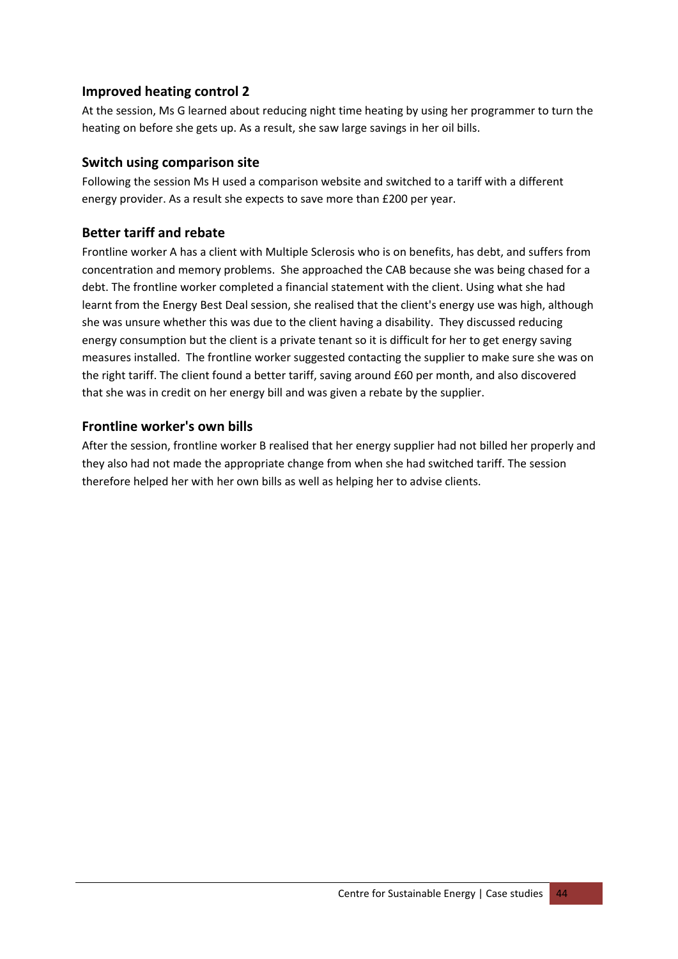# **Improved heating control 2**

At the session, Ms G learned about reducing night time heating by using her programmer to turn the heating on before she gets up. As a result, she saw large savings in her oil bills.

# **Switch using comparison site**

Following the session Ms H used a comparison website and switched to a tariff with a different energy provider. As a result she expects to save more than £200 per year.

# **Better tariff and rebate**

Frontline worker A has a client with Multiple Sclerosis who is on benefits, has debt, and suffers from concentration and memory problems. She approached the CAB because she was being chased for a debt. The frontline worker completed a financial statement with the client. Using what she had learnt from the Energy Best Deal session, she realised that the client's energy use was high, although she was unsure whether this was due to the client having a disability. They discussed reducing energy consumption but the client is a private tenant so it is difficult for her to get energy saving measures installed. The frontline worker suggested contacting the supplier to make sure she was on the right tariff. The client found a better tariff, saving around £60 per month, and also discovered that she was in credit on her energy bill and was given a rebate by the supplier.

# **Frontline worker's own bills**

After the session, frontline worker B realised that her energy supplier had not billed her properly and they also had not made the appropriate change from when she had switched tariff. The session therefore helped her with her own bills as well as helping her to advise clients.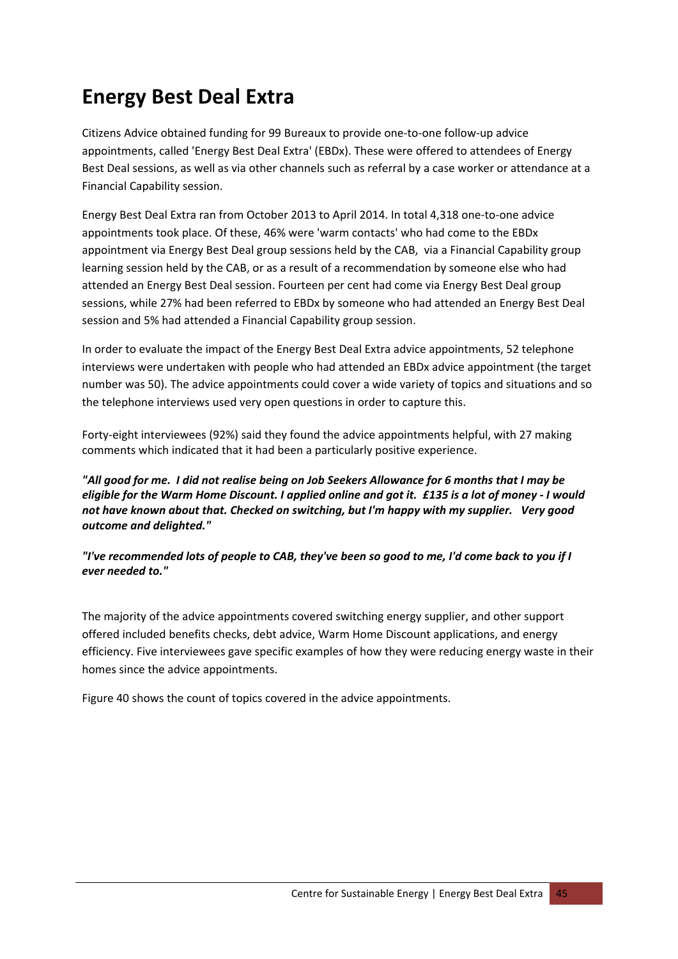# <span id="page-45-1"></span><span id="page-45-0"></span>**Energy Best Deal Extra**

Citizens Advice obtained funding for 99 Bureaux to provide one‐to‐one follow‐up advice appointments, called 'Energy Best Deal Extra' (EBDx). These were offered to attendees of Energy Best Deal sessions, as well as via other channels such as referral by a case worker or attendance at a Financial Capability session.

Energy Best Deal Extra ran from October 2013 to April 2014. In total 4,318 one‐to‐one advice appointments took place. Of these, 46% were 'warm contacts' who had come to the EBDx appointment via Energy Best Deal group sessions held by the CAB, via a Financial Capability group learning session held by the CAB, or as a result of a recommendation by someone else who had attended an Energy Best Deal session. Fourteen per cent had come via Energy Best Deal group sessions, while 27% had been referred to EBDx by someone who had attended an Energy Best Deal session and 5% had attended a Financial Capability group session.

In order to evaluate the impact of the Energy Best Deal Extra advice appointments, 52 telephone interviews were undertaken with people who had attended an EBDx advice appointment (the target number was 50). The advice appointments could cover a wide variety of topics and situations and so the telephone interviews used very open questions in order to capture this.

Forty‐eight interviewees (92%) said they found the advice appointments helpful, with 27 making comments which indicated that it had been a particularly positive experience.

"All good for me. I did not realise being on Job Seekers Allowance for 6 months that I may be eligible for the Warm Home Discount. I applied online and got it. £135 is a lot of money - I would *not have known about that. Checked on switching, but I'm happy with my supplier. Very good outcome and delighted."*

"I've recommended lots of people to CAB, they've been so good to me, I'd come back to you if I *ever needed to."*

The majority of the advice appointments covered switching energy supplier, and other support offered included benefits checks, debt advice, Warm Home Discount applications, and energy efficiency. Five interviewees gave specific examples of how they were reducing energy waste in their homes since the advice appointments.

[Figure](#page-46-0) 40 shows the count of topics covered in the advice appointments.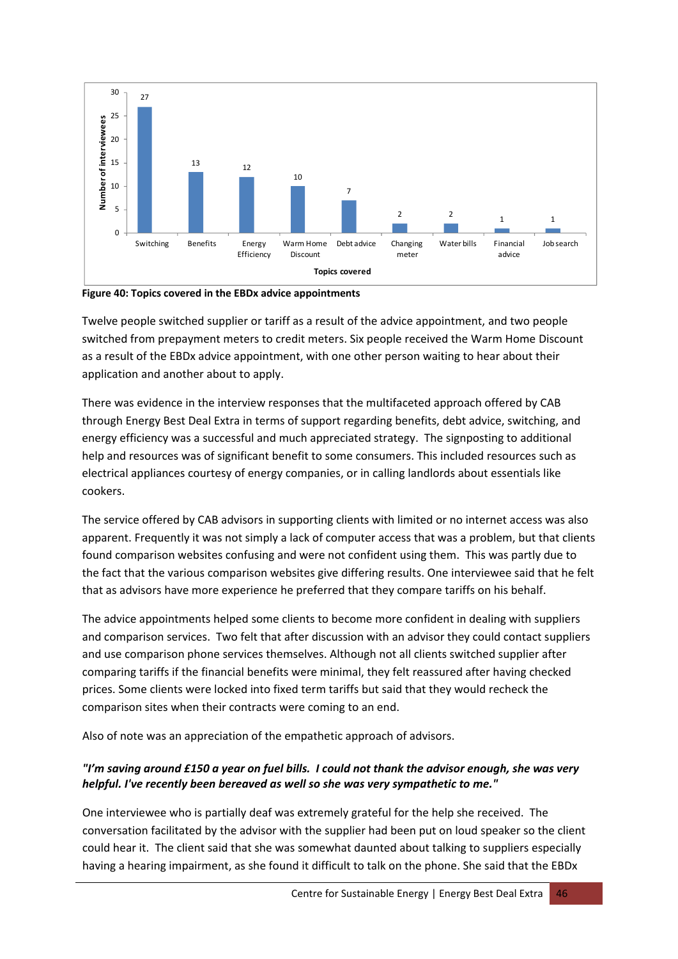

<span id="page-46-0"></span>**Figure 40: Topics covered in the EBDx advice appointments**

Twelve people switched supplier or tariff as a result of the advice appointment, and two people switched from prepayment meters to credit meters. Six people received the Warm Home Discount as a result of the EBDx advice appointment, with one other person waiting to hear about their application and another about to apply.

There was evidence in the interview responses that the multifaceted approach offered by CAB through Energy Best Deal Extra in terms of support regarding benefits, debt advice, switching, and energy efficiency was a successful and much appreciated strategy. The signposting to additional help and resources was of significant benefit to some consumers. This included resources such as electrical appliances courtesy of energy companies, or in calling landlords about essentials like cookers.

The service offered by CAB advisors in supporting clients with limited or no internet access was also apparent. Frequently it was not simply a lack of computer access that was a problem, but that clients found comparison websites confusing and were not confident using them. This was partly due to the fact that the various comparison websites give differing results. One interviewee said that he felt that as advisors have more experience he preferred that they compare tariffs on his behalf.

The advice appointments helped some clients to become more confident in dealing with suppliers and comparison services. Two felt that after discussion with an advisor they could contact suppliers and use comparison phone services themselves. Although not all clients switched supplier after comparing tariffs if the financial benefits were minimal, they felt reassured after having checked prices. Some clients were locked into fixed term tariffs but said that they would recheck the comparison sites when their contracts were coming to an end.

Also of note was an appreciation of the empathetic approach of advisors.

# "I'm saving around £150 a year on fuel bills. I could not thank the advisor enough, she was very *helpful. I've recently been bereaved as well so she was very sympathetic to me."*

One interviewee who is partially deaf was extremely grateful for the help she received. The conversation facilitated by the advisor with the supplier had been put on loud speaker so the client could hear it. The client said that she was somewhat daunted about talking to suppliers especially having a hearing impairment, as she found it difficult to talk on the phone. She said that the EBDx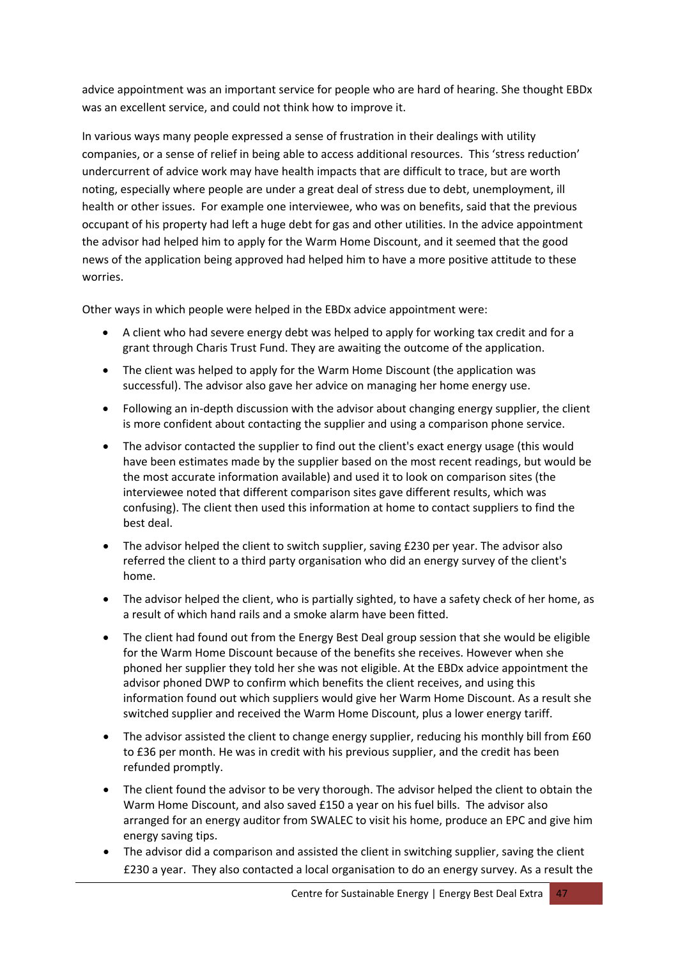advice appointment was an important service for people who are hard of hearing. She thought EBDx was an excellent service, and could not think how to improve it.

In various ways many people expressed a sense of frustration in their dealings with utility companies, or a sense of relief in being able to access additional resources. This 'stress reduction' undercurrent of advice work may have health impacts that are difficult to trace, but are worth noting, especially where people are under a great deal of stress due to debt, unemployment, ill health or other issues. For example one interviewee, who was on benefits, said that the previous occupant of his property had left a huge debt for gas and other utilities. In the advice appointment the advisor had helped him to apply for the Warm Home Discount, and it seemed that the good news of the application being approved had helped him to have a more positive attitude to these worries.

Other ways in which people were helped in the EBDx advice appointment were:

- A client who had severe energy debt was helped to apply for working tax credit and for a grant through Charis Trust Fund. They are awaiting the outcome of the application.
- The client was helped to apply for the Warm Home Discount (the application was successful). The advisor also gave her advice on managing her home energy use.
- Following an in‐depth discussion with the advisor about changing energy supplier, the client is more confident about contacting the supplier and using a comparison phone service.
- The advisor contacted the supplier to find out the client's exact energy usage (this would have been estimates made by the supplier based on the most recent readings, but would be the most accurate information available) and used it to look on comparison sites (the interviewee noted that different comparison sites gave different results, which was confusing). The client then used this information at home to contact suppliers to find the best deal.
- The advisor helped the client to switch supplier, saving £230 per year. The advisor also referred the client to a third party organisation who did an energy survey of the client's home.
- The advisor helped the client, who is partially sighted, to have a safety check of her home, as a result of which hand rails and a smoke alarm have been fitted.
- The client had found out from the Energy Best Deal group session that she would be eligible for the Warm Home Discount because of the benefits she receives. However when she phoned her supplier they told her she was not eligible. At the EBDx advice appointment the advisor phoned DWP to confirm which benefits the client receives, and using this information found out which suppliers would give her Warm Home Discount. As a result she switched supplier and received the Warm Home Discount, plus a lower energy tariff.
- The advisor assisted the client to change energy supplier, reducing his monthly bill from £60 to £36 per month. He was in credit with his previous supplier, and the credit has been refunded promptly.
- The client found the advisor to be very thorough. The advisor helped the client to obtain the Warm Home Discount, and also saved £150 a year on his fuel bills. The advisor also arranged for an energy auditor from SWALEC to visit his home, produce an EPC and give him energy saving tips.
- The advisor did a comparison and assisted the client in switching supplier, saving the client £230 a year. They also contacted a local organisation to do an energy survey. As a result the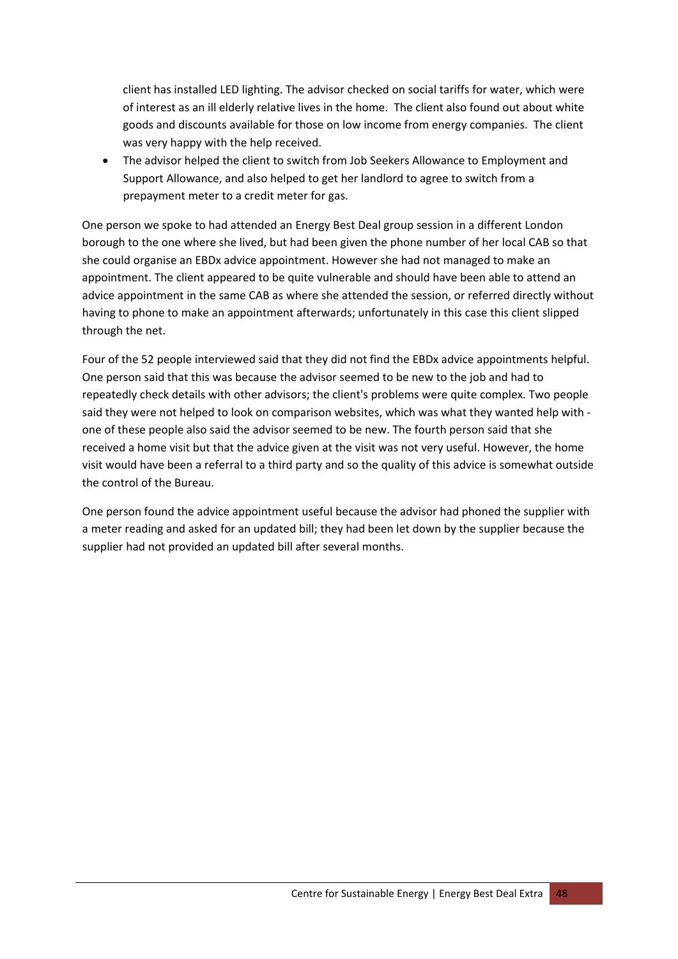client has installed LED lighting. The advisor checked on social tariffs for water, which were of interest as an ill elderly relative lives in the home. The client also found out about white goods and discounts available for those on low income from energy companies. The client was very happy with the help received.

• The advisor helped the client to switch from Job Seekers Allowance to Employment and Support Allowance, and also helped to get her landlord to agree to switch from a prepayment meter to a credit meter for gas.

One person we spoke to had attended an Energy Best Deal group session in a different London borough to the one where she lived, but had been given the phone number of her local CAB so that she could organise an EBDx advice appointment. However she had not managed to make an appointment. The client appeared to be quite vulnerable and should have been able to attend an advice appointment in the same CAB as where she attended the session, or referred directly without having to phone to make an appointment afterwards; unfortunately in this case this client slipped through the net.

Four of the 52 people interviewed said that they did not find the EBDx advice appointments helpful. One person said that this was because the advisor seemed to be new to the job and had to repeatedly check details with other advisors; the client's problems were quite complex. Two people said they were not helped to look on comparison websites, which was what they wanted help with ‐ one of these people also said the advisor seemed to be new. The fourth person said that she received a home visit but that the advice given at the visit was not very useful. However, the home visit would have been a referral to a third party and so the quality of this advice is somewhat outside the control of the Bureau.

One person found the advice appointment useful because the advisor had phoned the supplier with a meter reading and asked for an updated bill; they had been let down by the supplier because the supplier had not provided an updated bill after several months.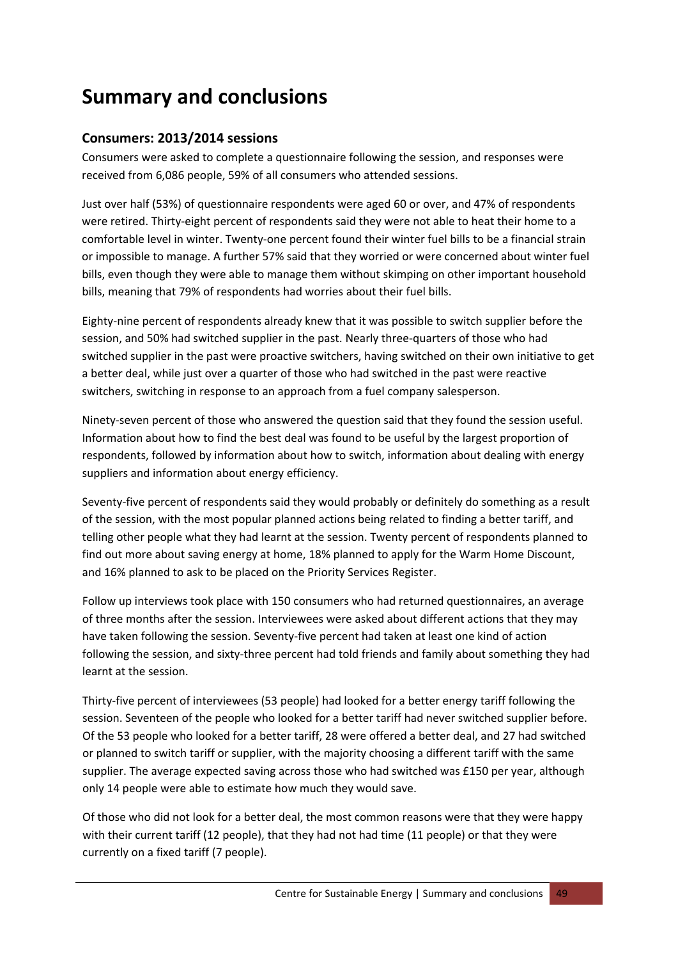# <span id="page-49-0"></span>**Summary and conclusions**

# **Consumers: 2013/2014 sessions**

Consumers were asked to complete a questionnaire following the session, and responses were received from 6,086 people, 59% of all consumers who attended sessions.

Just over half (53%) of questionnaire respondents were aged 60 or over, and 47% of respondents were retired. Thirty-eight percent of respondents said they were not able to heat their home to a comfortable level in winter. Twenty‐one percent found their winter fuel bills to be a financial strain or impossible to manage. A further 57% said that they worried or were concerned about winter fuel bills, even though they were able to manage them without skimping on other important household bills, meaning that 79% of respondents had worries about their fuel bills.

Eighty‐nine percent of respondents already knew that it was possible to switch supplier before the session, and 50% had switched supplier in the past. Nearly three-quarters of those who had switched supplier in the past were proactive switchers, having switched on their own initiative to get a better deal, while just over a quarter of those who had switched in the past were reactive switchers, switching in response to an approach from a fuel company salesperson.

Ninety‐seven percent of those who answered the question said that they found the session useful. Information about how to find the best deal was found to be useful by the largest proportion of respondents, followed by information about how to switch, information about dealing with energy suppliers and information about energy efficiency.

Seventy-five percent of respondents said they would probably or definitely do something as a result of the session, with the most popular planned actions being related to finding a better tariff, and telling other people what they had learnt at the session. Twenty percent of respondents planned to find out more about saving energy at home, 18% planned to apply for the Warm Home Discount, and 16% planned to ask to be placed on the Priority Services Register.

Follow up interviews took place with 150 consumers who had returned questionnaires, an average of three months after the session. Interviewees were asked about different actions that they may have taken following the session. Seventy-five percent had taken at least one kind of action following the session, and sixty-three percent had told friends and family about something they had learnt at the session.

Thirty‐five percent of interviewees (53 people) had looked for a better energy tariff following the session. Seventeen of the people who looked for a better tariff had never switched supplier before. Of the 53 people who looked for a better tariff, 28 were offered a better deal, and 27 had switched or planned to switch tariff or supplier, with the majority choosing a different tariff with the same supplier. The average expected saving across those who had switched was £150 per year, although only 14 people were able to estimate how much they would save.

Of those who did not look for a better deal, the most common reasons were that they were happy with their current tariff (12 people), that they had not had time (11 people) or that they were currently on a fixed tariff (7 people).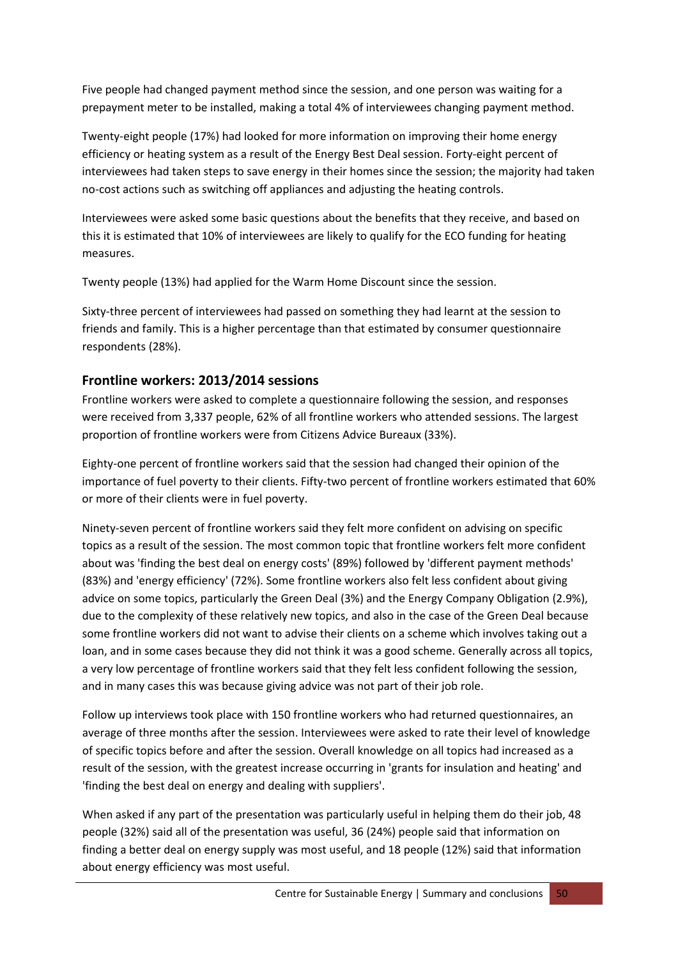Five people had changed payment method since the session, and one person was waiting for a prepayment meter to be installed, making a total 4% of interviewees changing payment method.

Twenty‐eight people (17%) had looked for more information on improving their home energy efficiency or heating system as a result of the Energy Best Deal session. Forty‐eight percent of interviewees had taken steps to save energy in their homes since the session; the majority had taken no‐cost actions such as switching off appliances and adjusting the heating controls.

Interviewees were asked some basic questions about the benefits that they receive, and based on this it is estimated that 10% of interviewees are likely to qualify for the ECO funding for heating measures.

Twenty people (13%) had applied for the Warm Home Discount since the session.

Sixty-three percent of interviewees had passed on something they had learnt at the session to friends and family. This is a higher percentage than that estimated by consumer questionnaire respondents (28%).

# **Frontline workers: 2013/2014 sessions**

Frontline workers were asked to complete a questionnaire following the session, and responses were received from 3,337 people, 62% of all frontline workers who attended sessions. The largest proportion of frontline workers were from Citizens Advice Bureaux (33%).

Eighty‐one percent of frontline workers said that the session had changed their opinion of the importance of fuel poverty to their clients. Fifty-two percent of frontline workers estimated that 60% or more of their clients were in fuel poverty.

Ninety‐seven percent of frontline workers said they felt more confident on advising on specific topics as a result of the session. The most common topic that frontline workers felt more confident about was 'finding the best deal on energy costs' (89%) followed by 'different payment methods' (83%) and 'energy efficiency' (72%). Some frontline workers also felt less confident about giving advice on some topics, particularly the Green Deal (3%) and the Energy Company Obligation (2.9%), due to the complexity of these relatively new topics, and also in the case of the Green Deal because some frontline workers did not want to advise their clients on a scheme which involves taking out a loan, and in some cases because they did not think it was a good scheme. Generally across all topics, a very low percentage of frontline workers said that they felt less confident following the session, and in many cases this was because giving advice was not part of their job role.

Follow up interviews took place with 150 frontline workers who had returned questionnaires, an average of three months after the session. Interviewees were asked to rate their level of knowledge of specific topics before and after the session. Overall knowledge on all topics had increased as a result of the session, with the greatest increase occurring in 'grants for insulation and heating' and 'finding the best deal on energy and dealing with suppliers'.

When asked if any part of the presentation was particularly useful in helping them do their job, 48 people (32%) said all of the presentation was useful, 36 (24%) people said that information on finding a better deal on energy supply was most useful, and 18 people (12%) said that information about energy efficiency was most useful.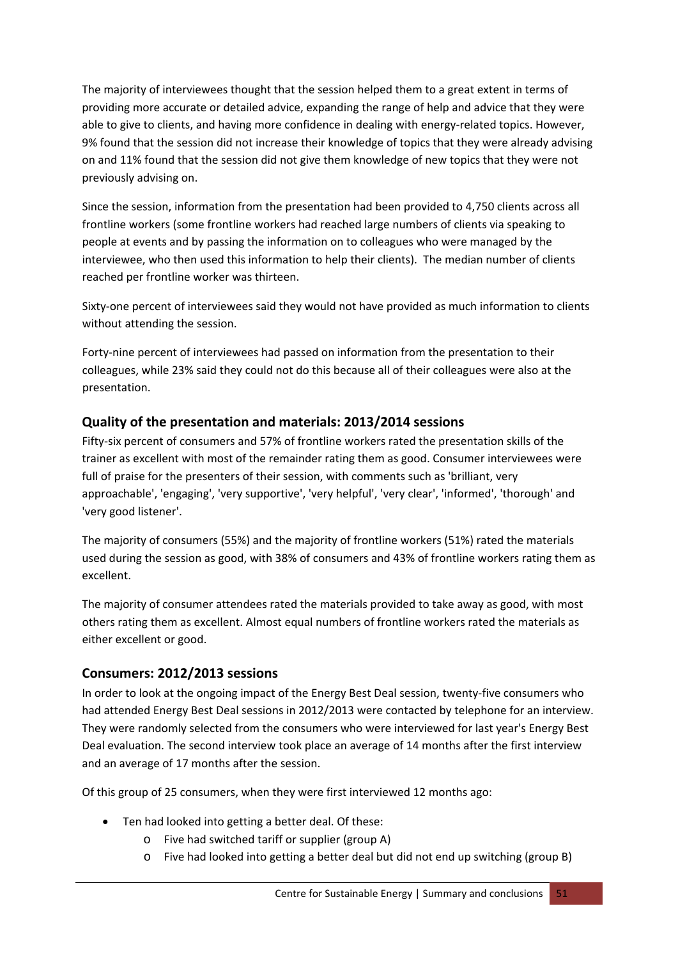The majority of interviewees thought that the session helped them to a great extent in terms of providing more accurate or detailed advice, expanding the range of help and advice that they were able to give to clients, and having more confidence in dealing with energy-related topics. However, 9% found that the session did not increase their knowledge of topics that they were already advising on and 11% found that the session did not give them knowledge of new topics that they were not previously advising on.

Since the session, information from the presentation had been provided to 4,750 clients across all frontline workers (some frontline workers had reached large numbers of clients via speaking to people at events and by passing the information on to colleagues who were managed by the interviewee, who then used this information to help their clients). The median number of clients reached per frontline worker was thirteen.

Sixty-one percent of interviewees said they would not have provided as much information to clients without attending the session.

Forty-nine percent of interviewees had passed on information from the presentation to their colleagues, while 23% said they could not do this because all of their colleagues were also at the presentation.

# **Quality of the presentation and materials: 2013/2014 sessions**

Fifty-six percent of consumers and 57% of frontline workers rated the presentation skills of the trainer as excellent with most of the remainder rating them as good. Consumer interviewees were full of praise for the presenters of their session, with comments such as 'brilliant, very approachable', 'engaging', 'very supportive', 'very helpful', 'very clear', 'informed', 'thorough' and 'very good listener'.

The majority of consumers (55%) and the majority of frontline workers (51%) rated the materials used during the session as good, with 38% of consumers and 43% of frontline workers rating them as excellent.

The majority of consumer attendees rated the materials provided to take away as good, with most others rating them as excellent. Almost equal numbers of frontline workers rated the materials as either excellent or good.

# **Consumers: 2012/2013 sessions**

In order to look at the ongoing impact of the Energy Best Deal session, twenty‐five consumers who had attended Energy Best Deal sessions in 2012/2013 were contacted by telephone for an interview. They were randomly selected from the consumers who were interviewed for last year's Energy Best Deal evaluation. The second interview took place an average of 14 months after the first interview and an average of 17 months after the session.

Of this group of 25 consumers, when they were first interviewed 12 months ago:

- Ten had looked into getting a better deal. Of these:
	- o Five had switched tariff or supplier (group A)
	- o Five had looked into getting a better deal but did not end up switching (group B)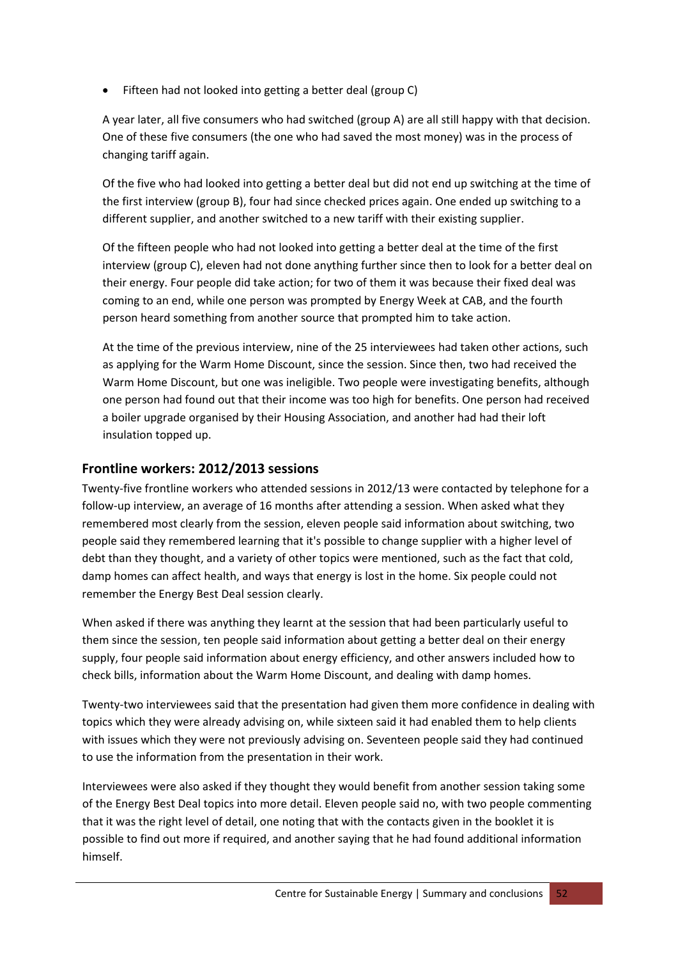• Fifteen had not looked into getting a better deal (group C)

A year later, all five consumers who had switched (group A) are all still happy with that decision. One of these five consumers (the one who had saved the most money) was in the process of changing tariff again.

Of the five who had looked into getting a better deal but did not end up switching at the time of the first interview (group B), four had since checked prices again. One ended up switching to a different supplier, and another switched to a new tariff with their existing supplier.

Of the fifteen people who had not looked into getting a better deal at the time of the first interview (group C), eleven had not done anything further since then to look for a better deal on their energy. Four people did take action; for two of them it was because their fixed deal was coming to an end, while one person was prompted by Energy Week at CAB, and the fourth person heard something from another source that prompted him to take action.

At the time of the previous interview, nine of the 25 interviewees had taken other actions, such as applying for the Warm Home Discount, since the session. Since then, two had received the Warm Home Discount, but one was ineligible. Two people were investigating benefits, although one person had found out that their income was too high for benefits. One person had received a boiler upgrade organised by their Housing Association, and another had had their loft insulation topped up.

# **Frontline workers: 2012/2013 sessions**

Twenty‐five frontline workers who attended sessions in 2012/13 were contacted by telephone for a follow‐up interview, an average of 16 months after attending a session. When asked what they remembered most clearly from the session, eleven people said information about switching, two people said they remembered learning that it's possible to change supplier with a higher level of debt than they thought, and a variety of other topics were mentioned, such as the fact that cold, damp homes can affect health, and ways that energy is lost in the home. Six people could not remember the Energy Best Deal session clearly.

When asked if there was anything they learnt at the session that had been particularly useful to them since the session, ten people said information about getting a better deal on their energy supply, four people said information about energy efficiency, and other answers included how to check bills, information about the Warm Home Discount, and dealing with damp homes.

Twenty-two interviewees said that the presentation had given them more confidence in dealing with topics which they were already advising on, while sixteen said it had enabled them to help clients with issues which they were not previously advising on. Seventeen people said they had continued to use the information from the presentation in their work.

Interviewees were also asked if they thought they would benefit from another session taking some of the Energy Best Deal topics into more detail. Eleven people said no, with two people commenting that it was the right level of detail, one noting that with the contacts given in the booklet it is possible to find out more if required, and another saying that he had found additional information himself.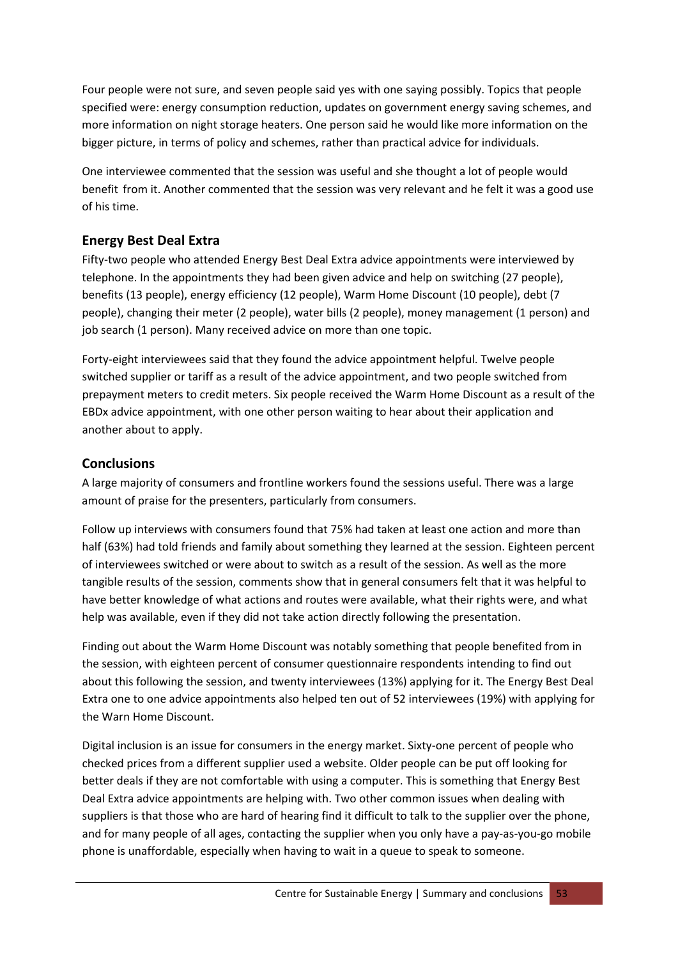Four people were not sure, and seven people said yes with one saying possibly. Topics that people specified were: energy consumption reduction, updates on government energy saving schemes, and more information on night storage heaters. One person said he would like more information on the bigger picture, in terms of policy and schemes, rather than practical advice for individuals.

One interviewee commented that the session was useful and she thought a lot of people would benefit from it. Another commented that the session was very relevant and he felt it was a good use of his time.

# **Energy Best Deal Extra**

Fifty-two people who attended Energy Best Deal Extra advice appointments were interviewed by telephone. In the appointments they had been given advice and help on switching (27 people), benefits (13 people), energy efficiency (12 people), Warm Home Discount (10 people), debt (7 people), changing their meter (2 people), water bills (2 people), money management (1 person) and job search (1 person). Many received advice on more than one topic.

Forty‐eight interviewees said that they found the advice appointment helpful. Twelve people switched supplier or tariff as a result of the advice appointment, and two people switched from prepayment meters to credit meters. Six people received the Warm Home Discount as a result of the EBDx advice appointment, with one other person waiting to hear about their application and another about to apply.

# **Conclusions**

A large majority of consumers and frontline workers found the sessions useful. There was a large amount of praise for the presenters, particularly from consumers.

Follow up interviews with consumers found that 75% had taken at least one action and more than half (63%) had told friends and family about something they learned at the session. Eighteen percent of interviewees switched or were about to switch as a result of the session. As well as the more tangible results of the session, comments show that in general consumers felt that it was helpful to have better knowledge of what actions and routes were available, what their rights were, and what help was available, even if they did not take action directly following the presentation.

Finding out about the Warm Home Discount was notably something that people benefited from in the session, with eighteen percent of consumer questionnaire respondents intending to find out about this following the session, and twenty interviewees (13%) applying for it. The Energy Best Deal Extra one to one advice appointments also helped ten out of 52 interviewees (19%) with applying for the Warn Home Discount.

Digital inclusion is an issue for consumers in the energy market. Sixty-one percent of people who checked prices from a different supplier used a website. Older people can be put off looking for better deals if they are not comfortable with using a computer. This is something that Energy Best Deal Extra advice appointments are helping with. Two other common issues when dealing with suppliers is that those who are hard of hearing find it difficult to talk to the supplier over the phone, and for many people of all ages, contacting the supplier when you only have a pay‐as‐you‐go mobile phone is unaffordable, especially when having to wait in a queue to speak to someone.